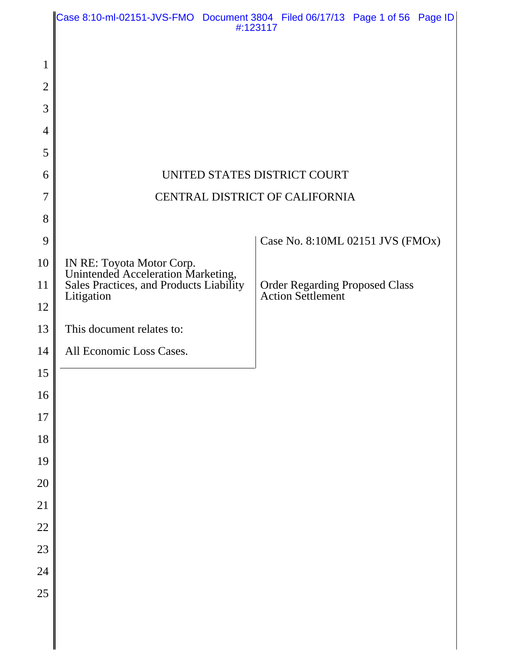|                |                                                                                                            | Case 8:10-ml-02151-JVS-FMO Document 3804 Filed 06/17/13 Page 1 of 56 Page ID<br>#:123117 |
|----------------|------------------------------------------------------------------------------------------------------------|------------------------------------------------------------------------------------------|
|                |                                                                                                            |                                                                                          |
| 1              |                                                                                                            |                                                                                          |
| $\overline{2}$ |                                                                                                            |                                                                                          |
| 3              |                                                                                                            |                                                                                          |
| $\overline{4}$ |                                                                                                            |                                                                                          |
| 5<br>6         |                                                                                                            | UNITED STATES DISTRICT COURT                                                             |
| $\overline{7}$ |                                                                                                            | CENTRAL DISTRICT OF CALIFORNIA                                                           |
| 8              |                                                                                                            |                                                                                          |
| 9              |                                                                                                            | Case No. 8:10ML 02151 JVS (FMOx)                                                         |
| 10             |                                                                                                            |                                                                                          |
| 11             | IN RE: Toyota Motor Corp.<br>Unintended Acceleration Marketing,<br>Sales Practices, and Products Liability | <b>Order Regarding Proposed Class</b>                                                    |
| 12             | Litigation                                                                                                 | <b>Action Settlement</b>                                                                 |
| 13             | This document relates to:                                                                                  |                                                                                          |
| 14             | All Economic Loss Cases.                                                                                   |                                                                                          |
| 15             |                                                                                                            |                                                                                          |
| 16             |                                                                                                            |                                                                                          |
| 17             |                                                                                                            |                                                                                          |
| 18             |                                                                                                            |                                                                                          |
| 19             |                                                                                                            |                                                                                          |
| 20             |                                                                                                            |                                                                                          |
| 21             |                                                                                                            |                                                                                          |
| 22             |                                                                                                            |                                                                                          |
| 23             |                                                                                                            |                                                                                          |
| 24<br>25       |                                                                                                            |                                                                                          |
|                |                                                                                                            |                                                                                          |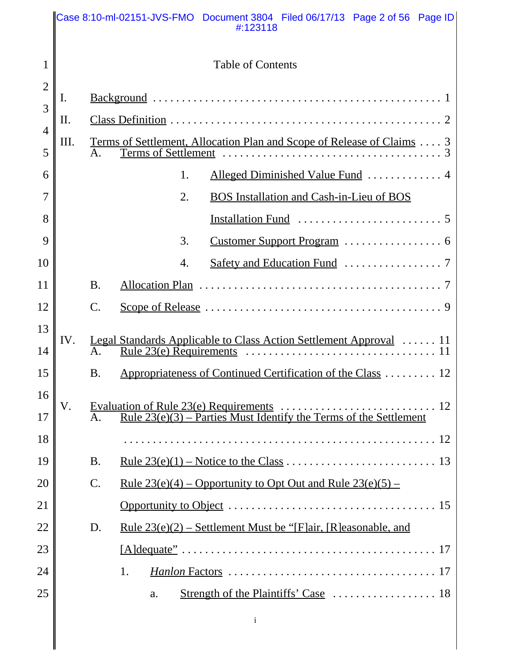|                     |      |                 | Case 8:10-ml-02151-JVS-FMO Document 3804 Filed 06/17/13 Page 2 of 56 Page ID<br>#:123118 |  |  |
|---------------------|------|-----------------|------------------------------------------------------------------------------------------|--|--|
| $\mathbf{1}$        |      |                 | <b>Table of Contents</b>                                                                 |  |  |
| $\overline{2}$      | I.   |                 |                                                                                          |  |  |
| 3                   | II.  |                 |                                                                                          |  |  |
| $\overline{4}$<br>5 | III. | $\mathsf{A}$ .  | <u>Terms of Settlement, Allocation Plan and Scope of Release of Claims</u> 3             |  |  |
| 6                   |      |                 | Alleged Diminished Value Fund  4<br>1.                                                   |  |  |
| 7                   |      |                 | 2.<br><b>BOS</b> Installation and Cash-in-Lieu of BOS                                    |  |  |
| 8                   |      |                 |                                                                                          |  |  |
| 9                   |      |                 | 3.                                                                                       |  |  |
| 10                  |      |                 | 4.                                                                                       |  |  |
| 11                  |      | <b>B.</b>       |                                                                                          |  |  |
| 12                  |      | $\mathcal{C}.$  |                                                                                          |  |  |
| 13<br>14            | IV.  | A.              | Legal Standards Applicable to Class Action Settlement Approval  11                       |  |  |
| 15                  |      | <b>B.</b>       | Appropriateness of Continued Certification of the Class  12                              |  |  |
| 16                  |      |                 |                                                                                          |  |  |
| 17                  | V.   |                 | <u>Rule <math>23(e)(3)</math> – Parties Must Identify the Terms of the Settlement</u>    |  |  |
| 18                  |      |                 |                                                                                          |  |  |
| 19                  |      | <b>B.</b>       |                                                                                          |  |  |
| 20                  |      | $\mathcal{C}$ . | <u>Rule 23(e)(4) – Opportunity to Opt Out and Rule 23(e)(5) –</u>                        |  |  |
| 21                  |      |                 |                                                                                          |  |  |
| 22                  |      | D.              | <u>Rule 23(e)(2) – Settlement Must be "[F]air, [R]easonable, and</u>                     |  |  |
| 23                  |      |                 |                                                                                          |  |  |
| 24                  |      |                 | 1.                                                                                       |  |  |
| 25                  |      |                 | a.                                                                                       |  |  |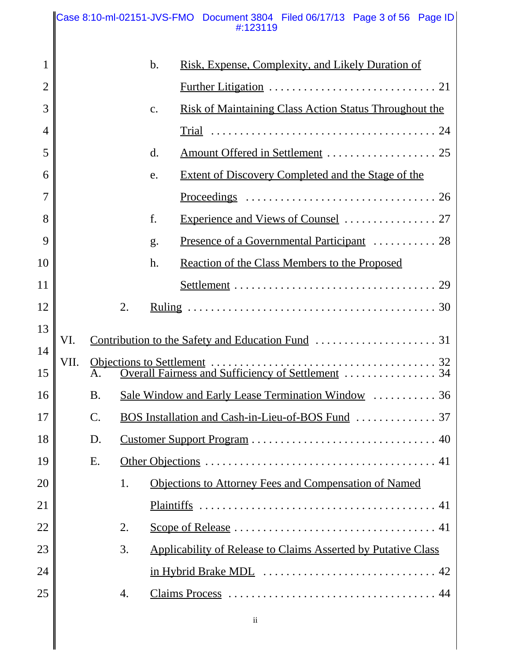#### Case 8:10-ml-02151-JVS-FMO Document 3804 Filed 06/17/13 Page 3 of 56 Page ID #:123119

| $\mathbf{1}$   |      |                |    | b. | Risk, Expense, Complexity, and Likely Duration of                                             |
|----------------|------|----------------|----|----|-----------------------------------------------------------------------------------------------|
| $\overline{2}$ |      |                |    |    |                                                                                               |
| 3              |      |                |    | c. | <b>Risk of Maintaining Class Action Status Throughout the</b>                                 |
| $\overline{4}$ |      |                |    |    |                                                                                               |
| 5              |      |                |    | d. |                                                                                               |
| 6              |      |                |    | e. | <b>Extent of Discovery Completed and the Stage of the</b>                                     |
| $\overline{7}$ |      |                |    |    | Proceedings $\ldots \ldots \ldots \ldots \ldots \ldots \ldots \ldots \ldots \ldots \ldots 26$ |
| 8              |      |                |    | f. |                                                                                               |
| 9              |      |                |    | g. |                                                                                               |
| 10             |      |                |    | h. | Reaction of the Class Members to the Proposed                                                 |
| 11             |      |                |    |    |                                                                                               |
| 12             |      |                | 2. |    |                                                                                               |
| 13             | VI.  |                |    |    |                                                                                               |
| 14             |      |                |    |    |                                                                                               |
| 15             | VII. | Α.             |    |    |                                                                                               |
| 16             |      | <b>B.</b>      |    |    | Sale Window and Early Lease Termination Window  36                                            |
| 17             |      | $\mathbf{C}$ . |    |    |                                                                                               |
| 18             |      | D.             |    |    |                                                                                               |
| 19             |      | Ε.             |    |    |                                                                                               |
| 20             |      |                | 1. |    | Objections to Attorney Fees and Compensation of Named                                         |
| 21             |      |                |    |    |                                                                                               |
| 22             |      |                | 2. |    |                                                                                               |
| 23             |      |                | 3. |    | <b>Applicability of Release to Claims Asserted by Putative Class</b>                          |
| 24             |      |                |    |    |                                                                                               |
| 25             |      |                | 4. |    |                                                                                               |
|                |      |                |    |    |                                                                                               |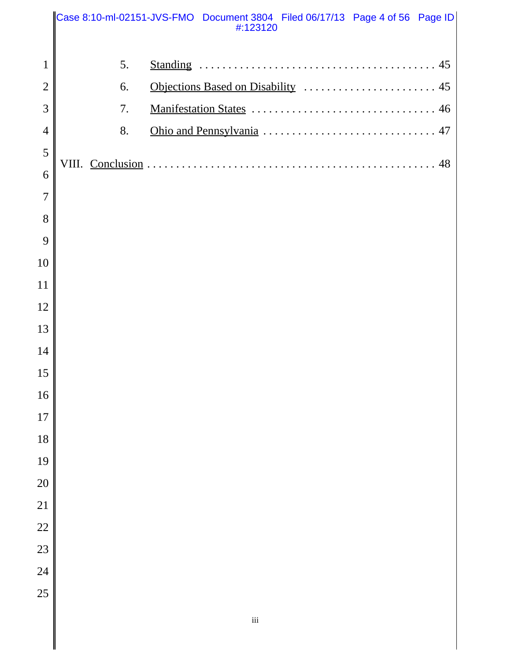|                |    | Case 8:10-ml-02151-JVS-FMO Document 3804 Filed 06/17/13 Page 4 of 56 Page ID<br>#:123120 |    |
|----------------|----|------------------------------------------------------------------------------------------|----|
| $\mathbf{1}$   | 5. |                                                                                          |    |
| $\overline{2}$ | 6. |                                                                                          |    |
| 3              | 7. |                                                                                          |    |
| $\overline{4}$ | 8. |                                                                                          |    |
| 5              |    |                                                                                          |    |
| 6              |    |                                                                                          | 48 |
| $\overline{7}$ |    |                                                                                          |    |
| 8              |    |                                                                                          |    |
| 9              |    |                                                                                          |    |
| 10             |    |                                                                                          |    |
| 11             |    |                                                                                          |    |
| 12             |    |                                                                                          |    |
| 13             |    |                                                                                          |    |
| 14             |    |                                                                                          |    |
| 15             |    |                                                                                          |    |
| 16             |    |                                                                                          |    |
| 17             |    |                                                                                          |    |
| 18             |    |                                                                                          |    |
| 19             |    |                                                                                          |    |
| 20             |    |                                                                                          |    |
| 21             |    |                                                                                          |    |
| 22             |    |                                                                                          |    |
| 23             |    |                                                                                          |    |
| 24             |    |                                                                                          |    |
| 25             |    |                                                                                          |    |
|                |    | $\rm iii$                                                                                |    |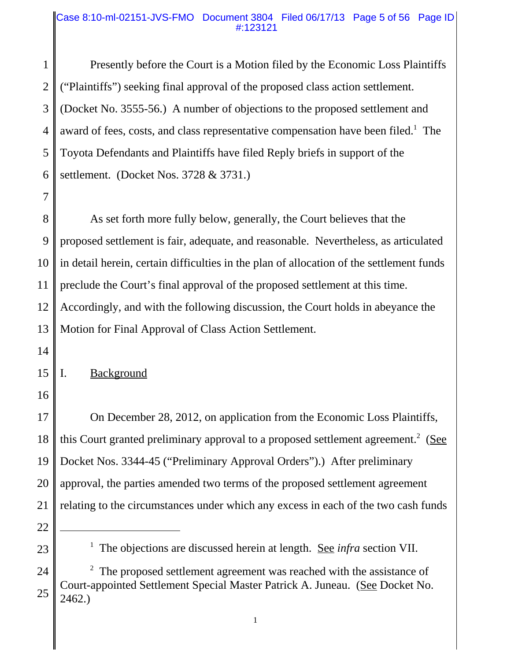#### Case 8:10-ml-02151-JVS-FMO Document 3804 Filed 06/17/13 Page 5 of 56 Page ID #:123121

1 2 3 4 5 6 Presently before the Court is a Motion filed by the Economic Loss Plaintiffs ("Plaintiffs") seeking final approval of the proposed class action settlement. (Docket No. 3555-56.) A number of objections to the proposed settlement and award of fees, costs, and class representative compensation have been filed.<sup>1</sup> The Toyota Defendants and Plaintiffs have filed Reply briefs in support of the settlement. (Docket Nos. 3728 & 3731.)

8 9 10 11 12 13 As set forth more fully below, generally, the Court believes that the proposed settlement is fair, adequate, and reasonable. Nevertheless, as articulated in detail herein, certain difficulties in the plan of allocation of the settlement funds preclude the Court's final approval of the proposed settlement at this time. Accordingly, and with the following discussion, the Court holds in abeyance the Motion for Final Approval of Class Action Settlement.

14

7

15 I. Background

16

17 18 19 20 21 On December 28, 2012, on application from the Economic Loss Plaintiffs, this Court granted preliminary approval to a proposed settlement agreement.<sup>2</sup> (See Docket Nos. 3344-45 ("Preliminary Approval Orders").) After preliminary approval, the parties amended two terms of the proposed settlement agreement relating to the circumstances under which any excess in each of the two cash funds

22

<sup>&</sup>lt;sup>1</sup> The objections are discussed herein at length. <u>See *infra*</u> section VII.

<sup>24</sup> 25  $2<sup>2</sup>$  The proposed settlement agreement was reached with the assistance of Court-appointed Settlement Special Master Patrick A. Juneau. (See Docket No. 2462.)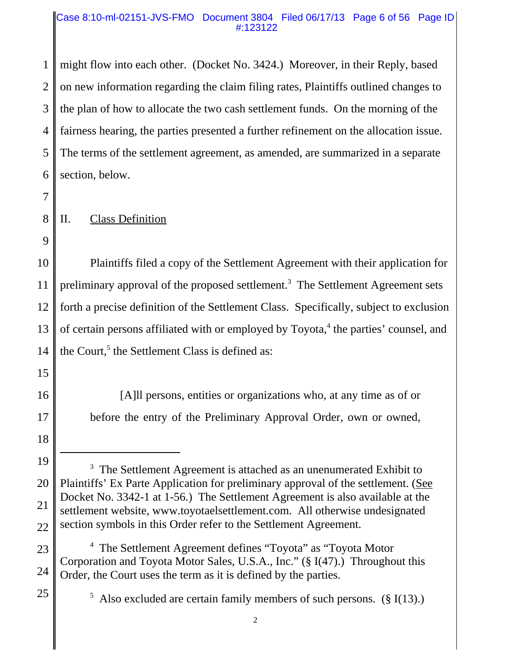#### Case 8:10-ml-02151-JVS-FMO Document 3804 Filed 06/17/13 Page 6 of 56 Page ID #:123122

1 2 3 4 5 6 might flow into each other. (Docket No. 3424.) Moreover, in their Reply, based on new information regarding the claim filing rates, Plaintiffs outlined changes to the plan of how to allocate the two cash settlement funds. On the morning of the fairness hearing, the parties presented a further refinement on the allocation issue. The terms of the settlement agreement, as amended, are summarized in a separate section, below.

7

8

9

# II. Class Definition

10 11 12 13 14 Plaintiffs filed a copy of the Settlement Agreement with their application for preliminary approval of the proposed settlement.<sup>3</sup> The Settlement Agreement sets forth a precise definition of the Settlement Class. Specifically, subject to exclusion of certain persons affiliated with or employed by Toyota,<sup>4</sup> the parties' counsel, and the Court,<sup>5</sup> the Settlement Class is defined as:

15

16

17

[A]ll persons, entities or organizations who, at any time as of or before the entry of the Preliminary Approval Order, own or owned,

25

23 24 <sup>4</sup> The Settlement Agreement defines "Toyota" as "Toyota Motor Corporation and Toyota Motor Sales, U.S.A., Inc." (§ I(47).) Throughout this Order, the Court uses the term as it is defined by the parties.

<sup>5</sup> Also excluded are certain family members of such persons.  $(\S$  I(13).)

<sup>18</sup>

<sup>19</sup> 20 21 22  $3$  The Settlement Agreement is attached as an unenumerated Exhibit to Plaintiffs' Ex Parte Application for preliminary approval of the settlement. (See Docket No. 3342-1 at 1-56.) The Settlement Agreement is also available at the settlement website, www.toyotaelsettlement.com. All otherwise undesignated section symbols in this Order refer to the Settlement Agreement.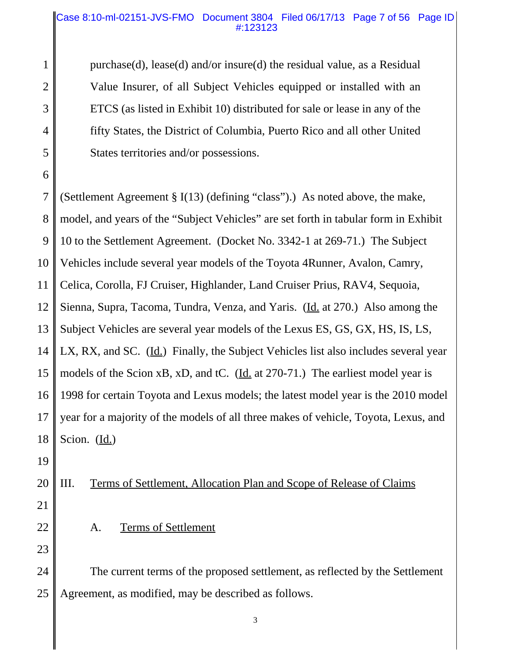#### Case 8:10-ml-02151-JVS-FMO Document 3804 Filed 06/17/13 Page 7 of 56 Page ID #:123123

purchase(d), lease(d) and/or insure(d) the residual value, as a Residual Value Insurer, of all Subject Vehicles equipped or installed with an ETCS (as listed in Exhibit 10) distributed for sale or lease in any of the fifty States, the District of Columbia, Puerto Rico and all other United States territories and/or possessions.

7 8 9 10 11 12 13 14 15 16 17 18 (Settlement Agreement § I(13) (defining "class").) As noted above, the make, model, and years of the "Subject Vehicles" are set forth in tabular form in Exhibit 10 to the Settlement Agreement. (Docket No. 3342-1 at 269-71.) The Subject Vehicles include several year models of the Toyota 4Runner, Avalon, Camry, Celica, Corolla, FJ Cruiser, Highlander, Land Cruiser Prius, RAV4, Sequoia, Sienna, Supra, Tacoma, Tundra, Venza, and Yaris. (Id. at 270.) Also among the Subject Vehicles are several year models of the Lexus ES, GS, GX, HS, IS, LS, LX, RX, and SC. (Id.) Finally, the Subject Vehicles list also includes several year models of the Scion xB, xD, and tC. (Id. at 270-71.) The earliest model year is 1998 for certain Toyota and Lexus models; the latest model year is the 2010 model year for a majority of the models of all three makes of vehicle, Toyota, Lexus, and Scion.  $(\underline{Id.})$ 

19

1

2

3

4

5

6

#### 20 III. Terms of Settlement, Allocation Plan and Scope of Release of Claims

- 21
- 22 23

A. Terms of Settlement

24 25 The current terms of the proposed settlement, as reflected by the Settlement Agreement, as modified, may be described as follows.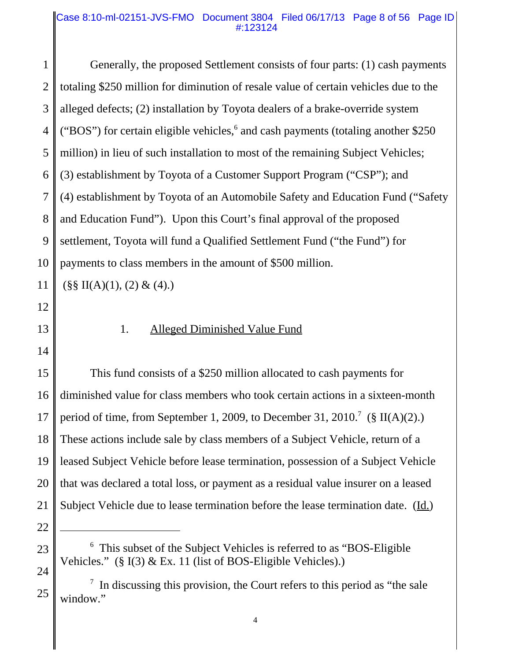#### Case 8:10-ml-02151-JVS-FMO Document 3804 Filed 06/17/13 Page 8 of 56 Page ID #:123124

1 2 3 4 5 6 7 8 9 10 11 12 13 14 15 16 17 18 19 20 21 22 23 <sup>6</sup> This subset of the Subject Vehicles is referred to as "BOS-Eligible Vehicles." (§ I(3) & Ex. 11 (list of BOS-Eligible Vehicles).) Generally, the proposed Settlement consists of four parts: (1) cash payments totaling \$250 million for diminution of resale value of certain vehicles due to the alleged defects; (2) installation by Toyota dealers of a brake-override system ("BOS") for certain eligible vehicles, $6$  and cash payments (totaling another \$250) million) in lieu of such installation to most of the remaining Subject Vehicles; (3) establishment by Toyota of a Customer Support Program ("CSP"); and (4) establishment by Toyota of an Automobile Safety and Education Fund ("Safety and Education Fund"). Upon this Court's final approval of the proposed settlement, Toyota will fund a Qualified Settlement Fund ("the Fund") for payments to class members in the amount of \$500 million.  $(\S\$  II(A)(1), (2) & (4).) 1. Alleged Diminished Value Fund This fund consists of a \$250 million allocated to cash payments for diminished value for class members who took certain actions in a sixteen-month period of time, from September 1, 2009, to December 31, 2010.<sup>7</sup> (§ II(A)(2).) These actions include sale by class members of a Subject Vehicle, return of a leased Subject Vehicle before lease termination, possession of a Subject Vehicle that was declared a total loss, or payment as a residual value insurer on a leased Subject Vehicle due to lease termination before the lease termination date. (Id.)

24

 $7$  In discussing this provision, the Court refers to this period as "the sale window."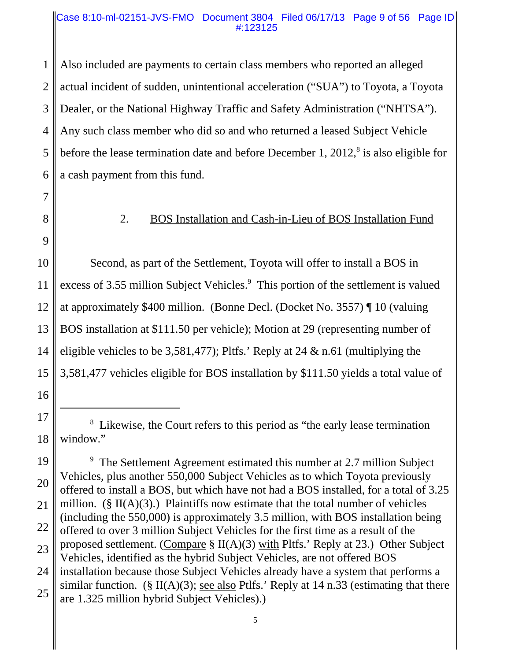#### Case 8:10-ml-02151-JVS-FMO Document 3804 Filed 06/17/13 Page 9 of 56 Page ID #:123125

1 2 3 4 5 6 Also included are payments to certain class members who reported an alleged actual incident of sudden, unintentional acceleration ("SUA") to Toyota, a Toyota Dealer, or the National Highway Traffic and Safety Administration ("NHTSA"). Any such class member who did so and who returned a leased Subject Vehicle before the lease termination date and before December 1,  $2012$ ,<sup>8</sup> is also eligible for a cash payment from this fund.

- 7 8
- 9

16

# 2. BOS Installation and Cash-in-Lieu of BOS Installation Fund

10 11 12 13 14 15 Second, as part of the Settlement, Toyota will offer to install a BOS in excess of 3.55 million Subject Vehicles.<sup>9</sup> This portion of the settlement is valued at approximately \$400 million. (Bonne Decl. (Docket No. 3557) ¶ 10 (valuing BOS installation at \$111.50 per vehicle); Motion at 29 (representing number of eligible vehicles to be 3,581,477); Pltfs.' Reply at 24 & n.61 (multiplying the 3,581,477 vehicles eligible for BOS installation by \$111.50 yields a total value of

<sup>17</sup> 18 <sup>8</sup> Likewise, the Court refers to this period as "the early lease termination window."

<sup>19</sup> 20 21 22 23 24 25 <sup>9</sup> The Settlement Agreement estimated this number at 2.7 million Subject Vehicles, plus another 550,000 Subject Vehicles as to which Toyota previously offered to install a BOS, but which have not had a BOS installed, for a total of 3.25 million. ( $\S$  II(A)(3).) Plaintiffs now estimate that the total number of vehicles (including the 550,000) is approximately 3.5 million, with BOS installation being offered to over 3 million Subject Vehicles for the first time as a result of the proposed settlement. (Compare  $\S$  II(A)(3) with Pltfs.' Reply at 23.) Other Subject Vehicles, identified as the hybrid Subject Vehicles, are not offered BOS installation because those Subject Vehicles already have a system that performs a similar function. (§ II(A)(3); <u>see also</u> Ptlfs.' Reply at 14 n.33 (estimating that there are 1.325 million hybrid Subject Vehicles).)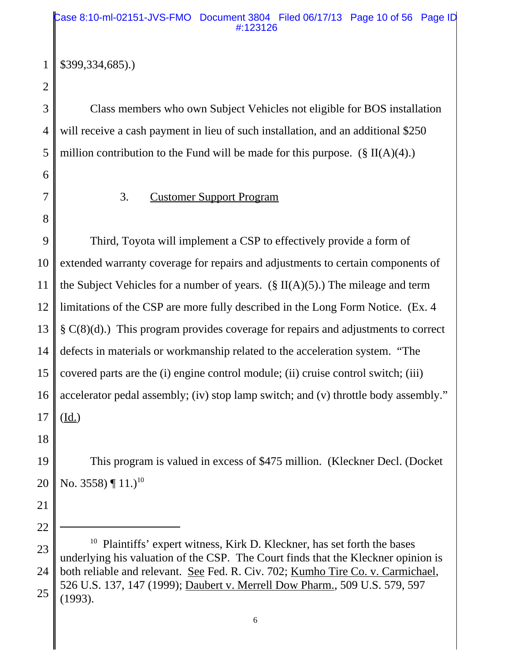# \$399,334,685).)

2

3

4

5

1

Class members who own Subject Vehicles not eligible for BOS installation will receive a cash payment in lieu of such installation, and an additional \$250 million contribution to the Fund will be made for this purpose.  $(\S \Pi(A)(4))$ 

6 7

8

### 3. Customer Support Program

9 10 11 12 13 14 15 16 17 Third, Toyota will implement a CSP to effectively provide a form of extended warranty coverage for repairs and adjustments to certain components of the Subject Vehicles for a number of years. (§ II(A)(5).) The mileage and term limitations of the CSP are more fully described in the Long Form Notice. (Ex. 4 § C(8)(d).) This program provides coverage for repairs and adjustments to correct defects in materials or workmanship related to the acceleration system. "The covered parts are the (i) engine control module; (ii) cruise control switch; (iii) accelerator pedal assembly; (iv) stop lamp switch; and (v) throttle body assembly." (Id.)

18

21

22

19 20 This program is valued in excess of \$475 million. (Kleckner Decl. (Docket No. 3558)  $\P$  11.)<sup>10</sup>

<sup>23</sup> 24 25 <sup>10</sup> Plaintiffs' expert witness, Kirk D. Kleckner, has set forth the bases underlying his valuation of the CSP. The Court finds that the Kleckner opinion is both reliable and relevant. See Fed. R. Civ. 702; Kumho Tire Co. v. Carmichael, 526 U.S. 137, 147 (1999); Daubert v. Merrell Dow Pharm., 509 U.S. 579, 597 (1993).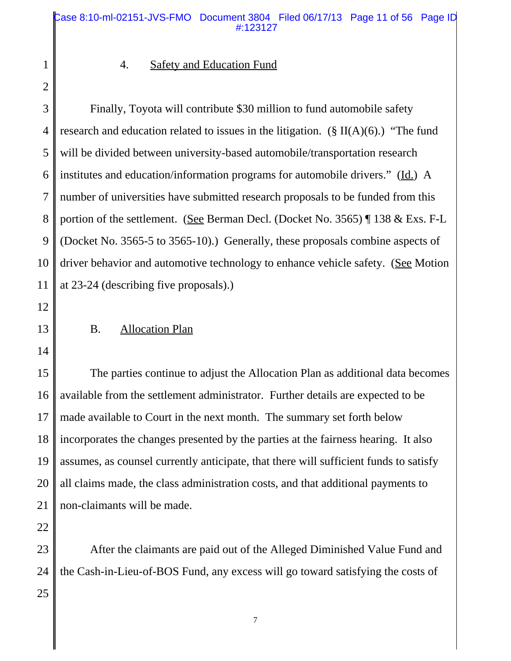2

1

# 4. Safety and Education Fund

3 4 5 6 7 8 9 10 11 Finally, Toyota will contribute \$30 million to fund automobile safety research and education related to issues in the litigation. ( $\S$  II(A)(6).) "The fund will be divided between university-based automobile/transportation research institutes and education/information programs for automobile drivers." (Id.) A number of universities have submitted research proposals to be funded from this portion of the settlement. (See Berman Decl. (Docket No. 3565) ¶ 138 & Exs. F-L (Docket No. 3565-5 to 3565-10).) Generally, these proposals combine aspects of driver behavior and automotive technology to enhance vehicle safety. (See Motion at 23-24 (describing five proposals).)

- 12
- B. Allocation Plan
- 14

13

15 16 17 18 19 20 21 The parties continue to adjust the Allocation Plan as additional data becomes available from the settlement administrator. Further details are expected to be made available to Court in the next month. The summary set forth below incorporates the changes presented by the parties at the fairness hearing. It also assumes, as counsel currently anticipate, that there will sufficient funds to satisfy all claims made, the class administration costs, and that additional payments to non-claimants will be made.

22

23 24 25 After the claimants are paid out of the Alleged Diminished Value Fund and the Cash-in-Lieu-of-BOS Fund, any excess will go toward satisfying the costs of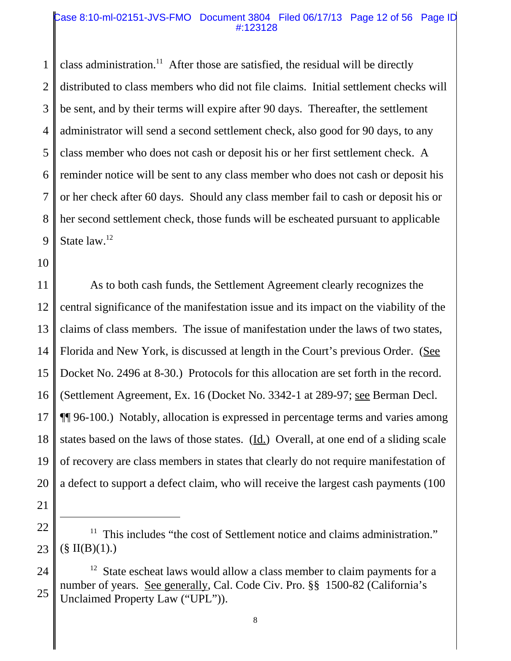#### Case 8:10-ml-02151-JVS-FMO Document 3804 Filed 06/17/13 Page 12 of 56 Page ID #:123128

1 2 3 4 5 6 7 8 9 class administration.<sup>11</sup> After those are satisfied, the residual will be directly distributed to class members who did not file claims. Initial settlement checks will be sent, and by their terms will expire after 90 days. Thereafter, the settlement administrator will send a second settlement check, also good for 90 days, to any class member who does not cash or deposit his or her first settlement check. A reminder notice will be sent to any class member who does not cash or deposit his or her check after 60 days. Should any class member fail to cash or deposit his or her second settlement check, those funds will be escheated pursuant to applicable State law.<sup>12</sup>

10

21

11 12 13 14 15 16 17 18 19 20 As to both cash funds, the Settlement Agreement clearly recognizes the central significance of the manifestation issue and its impact on the viability of the claims of class members. The issue of manifestation under the laws of two states, Florida and New York, is discussed at length in the Court's previous Order. (See Docket No. 2496 at 8-30.) Protocols for this allocation are set forth in the record. (Settlement Agreement, Ex. 16 (Docket No. 3342-1 at 289-97; see Berman Decl. ¶¶ 96-100.) Notably, allocation is expressed in percentage terms and varies among states based on the laws of those states.  $(\underline{Id.})$  Overall, at one end of a sliding scale of recovery are class members in states that clearly do not require manifestation of a defect to support a defect claim, who will receive the largest cash payments (100

<sup>22</sup> 23  $11$  This includes "the cost of Settlement notice and claims administration."  $(\S \Pi(B)(1))$ .

<sup>24</sup> 25  $12$  State escheat laws would allow a class member to claim payments for a number of years. See generally, Cal. Code Civ. Pro. §§ 1500-82 (California's Unclaimed Property Law ("UPL")).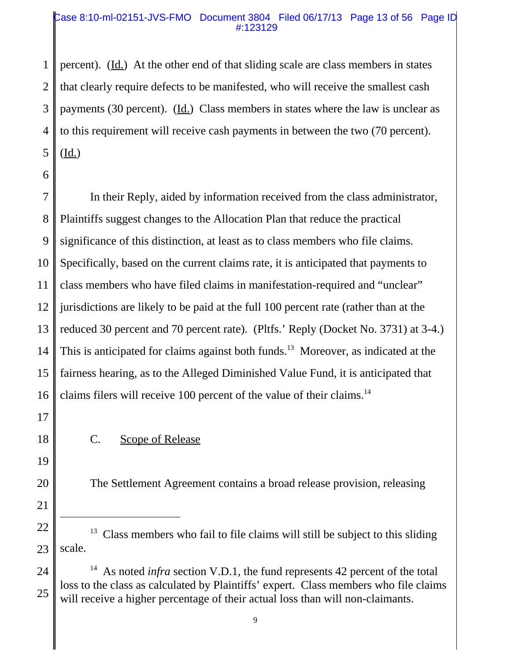#### Case 8:10-ml-02151-JVS-FMO Document 3804 Filed 06/17/13 Page 13 of 56 Page ID #:123129

1 2 3 4 5 percent). (Id.) At the other end of that sliding scale are class members in states that clearly require defects to be manifested, who will receive the smallest cash payments (30 percent). ( $\underline{Id}$ .) Class members in states where the law is unclear as to this requirement will receive cash payments in between the two (70 percent).  $(\underline{Id.})$ 

7 8 9 10 11 12 13 14 15 16 In their Reply, aided by information received from the class administrator, Plaintiffs suggest changes to the Allocation Plan that reduce the practical significance of this distinction, at least as to class members who file claims. Specifically, based on the current claims rate, it is anticipated that payments to class members who have filed claims in manifestation-required and "unclear" jurisdictions are likely to be paid at the full 100 percent rate (rather than at the reduced 30 percent and 70 percent rate). (Pltfs.' Reply (Docket No. 3731) at 3-4.) This is anticipated for claims against both funds.<sup>13</sup> Moreover, as indicated at the fairness hearing, as to the Alleged Diminished Value Fund, it is anticipated that claims filers will receive 100 percent of the value of their claims.<sup>14</sup>

17

C. Scope of Release

19

18

20

21 22

23

The Settlement Agreement contains a broad release provision, releasing

<sup>6</sup>

 $13$  Class members who fail to file claims will still be subject to this sliding scale.

<sup>24</sup> 25 <sup>14</sup> As noted *infra* section V.D.1, the fund represents 42 percent of the total loss to the class as calculated by Plaintiffs' expert. Class members who file claims will receive a higher percentage of their actual loss than will non-claimants.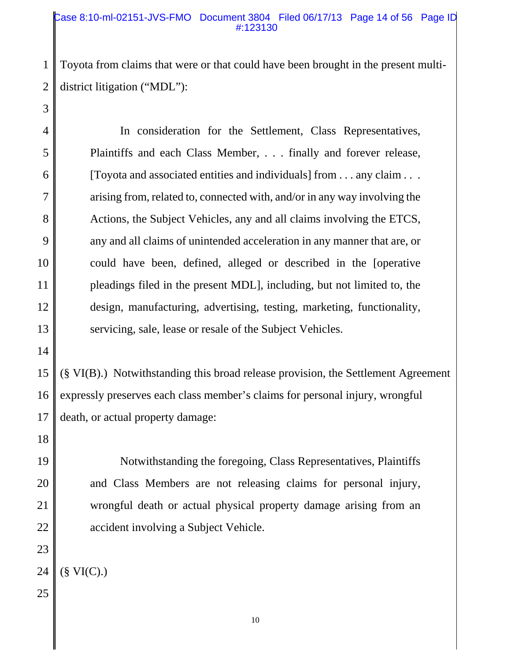#### Case 8:10-ml-02151-JVS-FMO Document 3804 Filed 06/17/13 Page 14 of 56 Page ID #:123130

2 Toyota from claims that were or that could have been brought in the present multidistrict litigation ("MDL"):

4 5 6 7 8 9 10 11 12 13 In consideration for the Settlement, Class Representatives, Plaintiffs and each Class Member, . . . finally and forever release, [Toyota and associated entities and individuals] from . . . any claim . . . arising from, related to, connected with, and/or in any way involving the Actions, the Subject Vehicles, any and all claims involving the ETCS, any and all claims of unintended acceleration in any manner that are, or could have been, defined, alleged or described in the [operative pleadings filed in the present MDL], including, but not limited to, the design, manufacturing, advertising, testing, marketing, functionality, servicing, sale, lease or resale of the Subject Vehicles.

14

1

3

15 16 17 (§ VI(B).) Notwithstanding this broad release provision, the Settlement Agreement expressly preserves each class member's claims for personal injury, wrongful death, or actual property damage:

18

19

20

21

22

23

Notwithstanding the foregoing, Class Representatives, Plaintiffs and Class Members are not releasing claims for personal injury, wrongful death or actual physical property damage arising from an accident involving a Subject Vehicle.

<sup>24</sup>  $(\S \text{VI}(C))$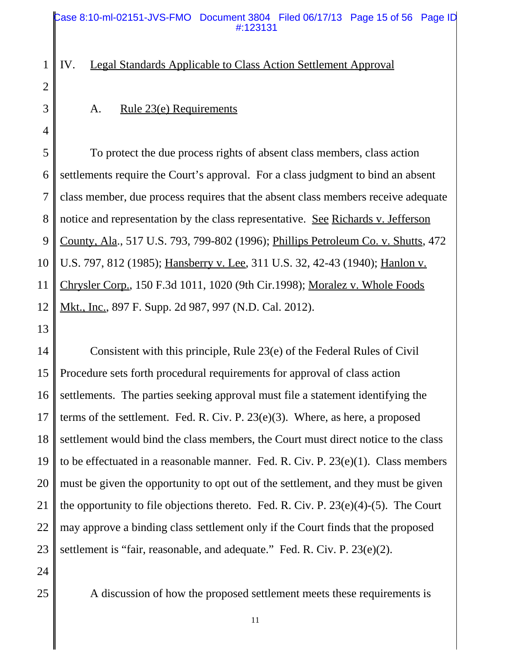IV. Legal Standards Applicable to Class Action Settlement Approval

3

4

1

2

#### A. Rule 23(e) Requirements

5 6 7 8 9 10 11 12 To protect the due process rights of absent class members, class action settlements require the Court's approval. For a class judgment to bind an absent class member, due process requires that the absent class members receive adequate notice and representation by the class representative. See Richards v. Jefferson County, Ala., 517 U.S. 793, 799-802 (1996); Phillips Petroleum Co. v. Shutts, 472 U.S. 797, 812 (1985); Hansberry v. Lee, 311 U.S. 32, 42-43 (1940); Hanlon v. Chrysler Corp., 150 F.3d 1011, 1020 (9th Cir.1998); Moralez v. Whole Foods Mkt., Inc., 897 F. Supp. 2d 987, 997 (N.D. Cal. 2012).

13

14 15 16 17 18 19 20 21 22 23 Consistent with this principle, Rule 23(e) of the Federal Rules of Civil Procedure sets forth procedural requirements for approval of class action settlements. The parties seeking approval must file a statement identifying the terms of the settlement. Fed. R. Civ. P. 23(e)(3). Where, as here, a proposed settlement would bind the class members, the Court must direct notice to the class to be effectuated in a reasonable manner. Fed. R. Civ. P. 23(e)(1). Class members must be given the opportunity to opt out of the settlement, and they must be given the opportunity to file objections thereto. Fed. R. Civ. P. 23(e)(4)-(5). The Court may approve a binding class settlement only if the Court finds that the proposed settlement is "fair, reasonable, and adequate." Fed. R. Civ. P. 23(e)(2).

24

25

A discussion of how the proposed settlement meets these requirements is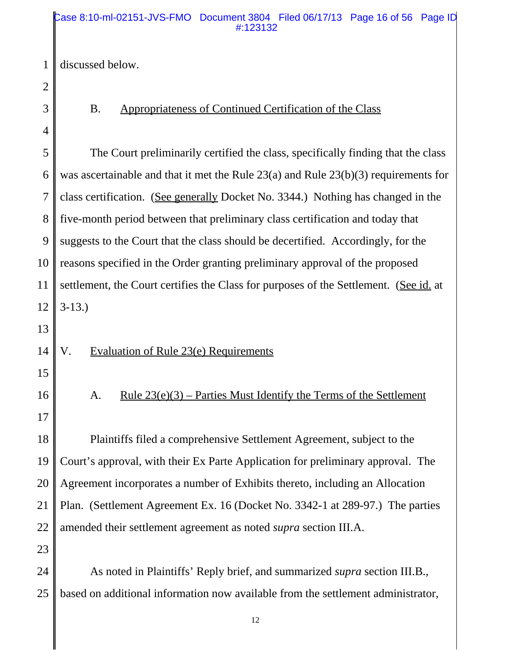#### Case 8:10-ml-02151-JVS-FMO Document 3804 Filed 06/17/13 Page 16 of 56 Page ID #:123132

1 discussed below.

2 3 4

# B. Appropriateness of Continued Certification of the Class

5 6 7 8 9 10 11 12 13 14 15 16 17 18 19 20 21 The Court preliminarily certified the class, specifically finding that the class was ascertainable and that it met the Rule 23(a) and Rule 23(b)(3) requirements for class certification. (See generally Docket No. 3344.) Nothing has changed in the five-month period between that preliminary class certification and today that suggests to the Court that the class should be decertified. Accordingly, for the reasons specified in the Order granting preliminary approval of the proposed settlement, the Court certifies the Class for purposes of the Settlement. (See id. at 3-13.) V. Evaluation of Rule 23(e) Requirements A. Rule  $23(e)(3)$  – Parties Must Identify the Terms of the Settlement Plaintiffs filed a comprehensive Settlement Agreement, subject to the Court's approval, with their Ex Parte Application for preliminary approval. The Agreement incorporates a number of Exhibits thereto, including an Allocation Plan. (Settlement Agreement Ex. 16 (Docket No. 3342-1 at 289-97.) The parties

23

22

24 25 As noted in Plaintiffs' Reply brief, and summarized *supra* section III.B., based on additional information now available from the settlement administrator,

amended their settlement agreement as noted *supra* section III.A.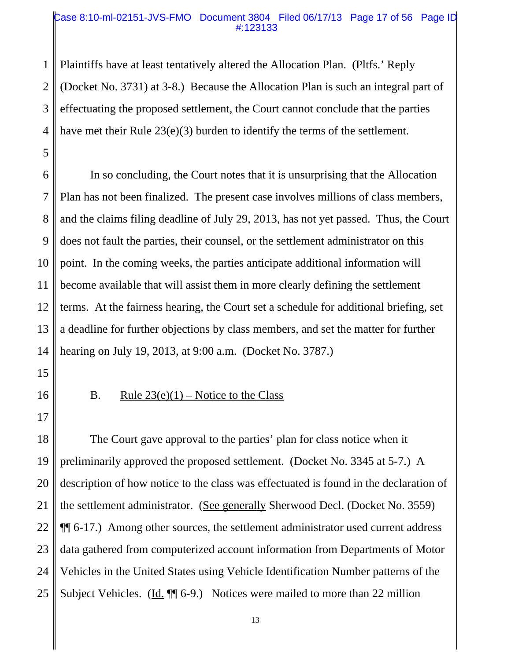#### Case 8:10-ml-02151-JVS-FMO Document 3804 Filed 06/17/13 Page 17 of 56 Page ID #:123133

1 2 3 4 Plaintiffs have at least tentatively altered the Allocation Plan. (Pltfs.' Reply (Docket No. 3731) at 3-8.) Because the Allocation Plan is such an integral part of effectuating the proposed settlement, the Court cannot conclude that the parties have met their Rule 23(e)(3) burden to identify the terms of the settlement.

6 7 8 9 10 11 12 13 14 In so concluding, the Court notes that it is unsurprising that the Allocation Plan has not been finalized. The present case involves millions of class members, and the claims filing deadline of July 29, 2013, has not yet passed. Thus, the Court does not fault the parties, their counsel, or the settlement administrator on this point. In the coming weeks, the parties anticipate additional information will become available that will assist them in more clearly defining the settlement terms. At the fairness hearing, the Court set a schedule for additional briefing, set a deadline for further objections by class members, and set the matter for further hearing on July 19, 2013, at 9:00 a.m. (Docket No. 3787.)

15

5

16

17

## B. Rule  $23(e)(1)$  – Notice to the Class

18 19 20 21 22 23 24 25 The Court gave approval to the parties' plan for class notice when it preliminarily approved the proposed settlement. (Docket No. 3345 at 5-7.) A description of how notice to the class was effectuated is found in the declaration of the settlement administrator. (See generally Sherwood Decl. (Docket No. 3559) ¶¶ 6-17.) Among other sources, the settlement administrator used current address data gathered from computerized account information from Departments of Motor Vehicles in the United States using Vehicle Identification Number patterns of the Subject Vehicles. (Id.  $\P$  6-9.) Notices were mailed to more than 22 million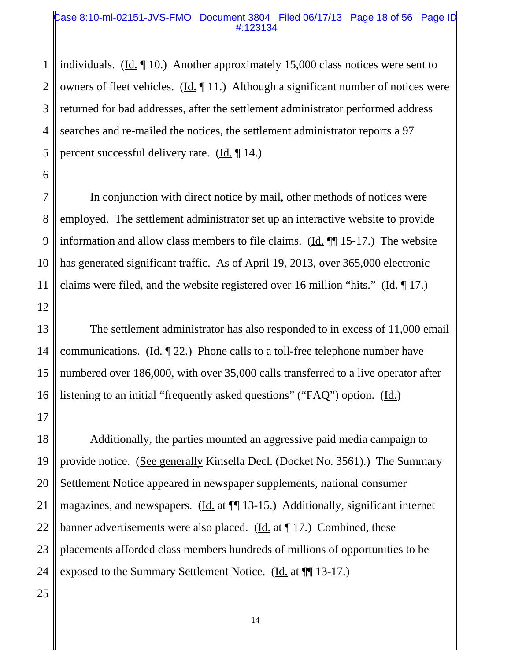#### Case 8:10-ml-02151-JVS-FMO Document 3804 Filed 06/17/13 Page 18 of 56 Page ID #:123134

1 2 3 4 5 individuals. (Id. ¶ 10.) Another approximately 15,000 class notices were sent to owners of fleet vehicles. (Id. ¶ 11.) Although a significant number of notices were returned for bad addresses, after the settlement administrator performed address searches and re-mailed the notices, the settlement administrator reports a 97 percent successful delivery rate.  $(\underline{Id}, \P 14)$ 

7 8 9 10 11 12 In conjunction with direct notice by mail, other methods of notices were employed. The settlement administrator set up an interactive website to provide information and allow class members to file claims. (Id. ¶¶ 15-17.) The website has generated significant traffic. As of April 19, 2013, over 365,000 electronic claims were filed, and the website registered over 16 million "hits." ( $\underline{Id}$ .  $\P$  17.)

13 14 15 16 The settlement administrator has also responded to in excess of 11,000 email communications. (Id.  $\left( \frac{\text{Id}}{\text{Id}} \right)$  22.) Phone calls to a toll-free telephone number have numbered over 186,000, with over 35,000 calls transferred to a live operator after listening to an initial "frequently asked questions" ("FAQ") option. (Id.)

18 19 20 21 22 23 24 Additionally, the parties mounted an aggressive paid media campaign to provide notice. (See generally Kinsella Decl. (Docket No. 3561).) The Summary Settlement Notice appeared in newspaper supplements, national consumer magazines, and newspapers. (Id. at  $\P$  13-15.) Additionally, significant internet banner advertisements were also placed. (Id. at  $\P$  17.) Combined, these placements afforded class members hundreds of millions of opportunities to be exposed to the Summary Settlement Notice. (Id. at  $\P$  13-17.)

25

17

6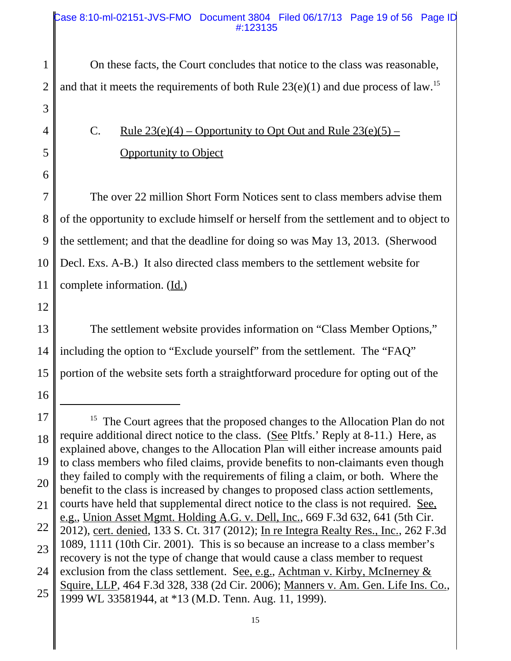#### Case 8:10-ml-02151-JVS-FMO Document 3804 Filed 06/17/13 Page 19 of 56 Page ID #:123135

1 2 On these facts, the Court concludes that notice to the class was reasonable, and that it meets the requirements of both Rule  $23(e)(1)$  and due process of law.<sup>15</sup>

> C. Rule  $23(e)(4)$  – Opportunity to Opt Out and Rule  $23(e)(5)$  – Opportunity to Object

7 8 9 10 11 The over 22 million Short Form Notices sent to class members advise them of the opportunity to exclude himself or herself from the settlement and to object to the settlement; and that the deadline for doing so was May 13, 2013. (Sherwood Decl. Exs. A-B.) It also directed class members to the settlement website for complete information. (Id.)

12

16

13 14 15 The settlement website provides information on "Class Member Options," including the option to "Exclude yourself" from the settlement. The "FAQ" portion of the website sets forth a straightforward procedure for opting out of the

3

4

5

<sup>17</sup> 18 19 20 21 22 23 24 25 <sup>15</sup> The Court agrees that the proposed changes to the Allocation Plan do not require additional direct notice to the class. (See Pltfs.' Reply at 8-11.) Here, as explained above, changes to the Allocation Plan will either increase amounts paid to class members who filed claims, provide benefits to non-claimants even though they failed to comply with the requirements of filing a claim, or both. Where the benefit to the class is increased by changes to proposed class action settlements, courts have held that supplemental direct notice to the class is not required. See, e.g., Union Asset Mgmt. Holding A.G. v. Dell, Inc., 669 F.3d 632, 641 (5th Cir. 2012), cert. denied, 133 S. Ct. 317 (2012); In re Integra Realty Res., Inc., 262 F.3d 1089, 1111 (10th Cir. 2001). This is so because an increase to a class member's recovery is not the type of change that would cause a class member to request exclusion from the class settlement. See, e.g., Achtman v. Kirby, McInerney  $\&$ Squire, LLP, 464 F.3d 328, 338 (2d Cir. 2006); Manners v. Am. Gen. Life Ins. Co., 1999 WL 33581944, at \*13 (M.D. Tenn. Aug. 11, 1999).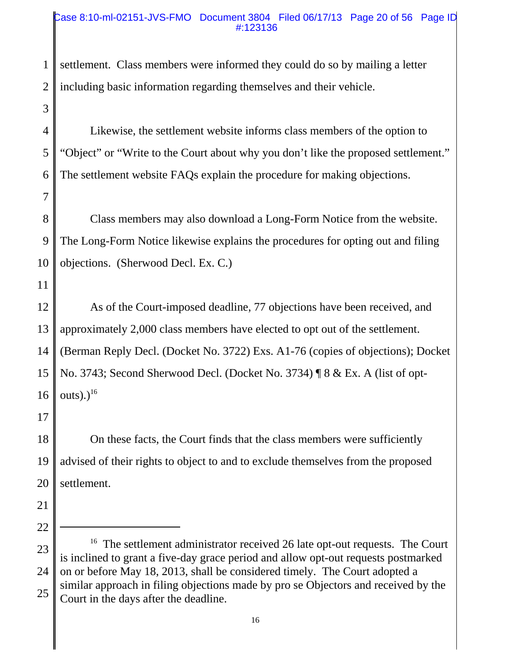#### Case 8:10-ml-02151-JVS-FMO Document 3804 Filed 06/17/13 Page 20 of 56 Page ID #:123136

1 2 settlement. Class members were informed they could do so by mailing a letter including basic information regarding themselves and their vehicle.

4 5 6 Likewise, the settlement website informs class members of the option to "Object" or "Write to the Court about why you don't like the proposed settlement." The settlement website FAQs explain the procedure for making objections.

8 9 10 Class members may also download a Long-Form Notice from the website. The Long-Form Notice likewise explains the procedures for opting out and filing objections. (Sherwood Decl. Ex. C.)

11

3

7

12 13 14 15 16 As of the Court-imposed deadline, 77 objections have been received, and approximately 2,000 class members have elected to opt out of the settlement. (Berman Reply Decl. (Docket No. 3722) Exs. A1-76 (copies of objections); Docket No. 3743; Second Sherwood Decl. (Docket No. 3734) ¶ 8 & Ex. A (list of optouts). $)^{16}$ 

17

18 19 20 On these facts, the Court finds that the class members were sufficiently advised of their rights to object to and to exclude themselves from the proposed settlement.

- 21
- 22

<sup>23</sup> 24 25 <sup>16</sup> The settlement administrator received 26 late opt-out requests. The Court is inclined to grant a five-day grace period and allow opt-out requests postmarked on or before May 18, 2013, shall be considered timely. The Court adopted a similar approach in filing objections made by pro se Objectors and received by the Court in the days after the deadline.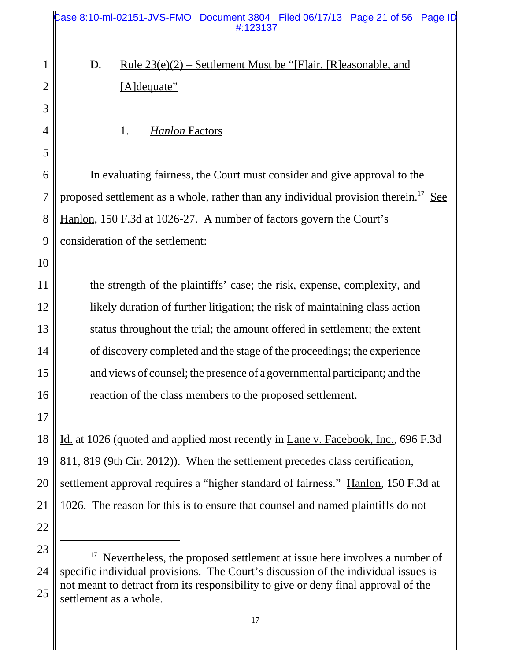|                | Case 8:10-ml-02151-JVS-FMO Document 3804 Filed 06/17/13 Page 21 of 56 Page ID<br>#:123137                  |
|----------------|------------------------------------------------------------------------------------------------------------|
| $\mathbf{1}$   | D.<br><u>Rule <math>23(e)(2)</math> – Settlement Must be "[F]air, [R]easonable, and</u>                    |
| $\overline{2}$ | [A]dequate"                                                                                                |
| 3              |                                                                                                            |
| 4              | 1.<br><b>Hanlon Factors</b>                                                                                |
| 5              |                                                                                                            |
| 6              | In evaluating fairness, the Court must consider and give approval to the                                   |
| $\overline{7}$ | proposed settlement as a whole, rather than any individual provision therein. <sup>17</sup> See            |
| 8              | Hanlon, 150 F.3d at 1026-27. A number of factors govern the Court's                                        |
| 9              | consideration of the settlement:                                                                           |
| 10             |                                                                                                            |
| 11             | the strength of the plaintiffs' case; the risk, expense, complexity, and                                   |
| 12             | likely duration of further litigation; the risk of maintaining class action                                |
| 13             | status throughout the trial; the amount offered in settlement; the extent                                  |
| 14             | of discovery completed and the stage of the proceedings; the experience                                    |
| 15             | and views of counsel; the presence of a governmental participant; and the                                  |
| 16             | reaction of the class members to the proposed settlement.                                                  |
| 17             |                                                                                                            |
| 18             | Id. at 1026 (quoted and applied most recently in Lane v. Facebook, Inc., 696 F.3d                          |
| 19             | 811, 819 (9th Cir. 2012)). When the settlement precedes class certification,                               |
| 20             | settlement approval requires a "higher standard of fairness." Hanlon, 150 F.3d at                          |
| 21             | 1026. The reason for this is to ensure that counsel and named plaintiffs do not                            |
| 22             |                                                                                                            |
| 23             | Nevertheless, the proposed settlement at issue here involves a number of                                   |
| 24             | specific individual provisions. The Court's discussion of the individual issues is                         |
| 25             | not meant to detract from its responsibility to give or deny final approval of the<br>ottlement as a whole |

settlement as a whole.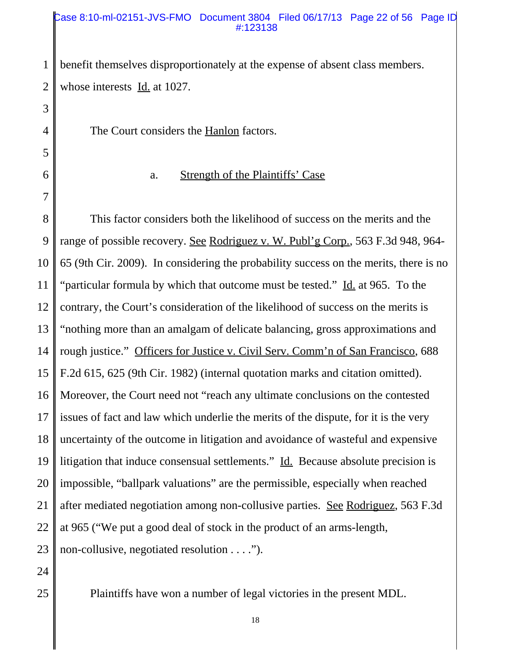#### Case 8:10-ml-02151-JVS-FMO Document 3804 Filed 06/17/13 Page 22 of 56 Page ID #:123138

1 2 benefit themselves disproportionately at the expense of absent class members. whose interests Id. at 1027.

The Court considers the Hanlon factors.

6

7

3

4

5

# a. Strength of the Plaintiffs' Case

8 9 10 11 12 13 14 15 16 17 18 19 20 21 22 23 This factor considers both the likelihood of success on the merits and the range of possible recovery. See Rodriguez v. W. Publ'g Corp., 563 F.3d 948, 964- 65 (9th Cir. 2009). In considering the probability success on the merits, there is no "particular formula by which that outcome must be tested." Id. at 965. To the contrary, the Court's consideration of the likelihood of success on the merits is "nothing more than an amalgam of delicate balancing, gross approximations and rough justice." Officers for Justice v. Civil Serv. Comm'n of San Francisco, 688 F.2d 615, 625 (9th Cir. 1982) (internal quotation marks and citation omitted). Moreover, the Court need not "reach any ultimate conclusions on the contested issues of fact and law which underlie the merits of the dispute, for it is the very uncertainty of the outcome in litigation and avoidance of wasteful and expensive litigation that induce consensual settlements." Id. Because absolute precision is impossible, "ballpark valuations" are the permissible, especially when reached after mediated negotiation among non-collusive parties. See Rodriguez, 563 F.3d at 965 ("We put a good deal of stock in the product of an arms-length, non-collusive, negotiated resolution . . . .").

24

25

Plaintiffs have won a number of legal victories in the present MDL.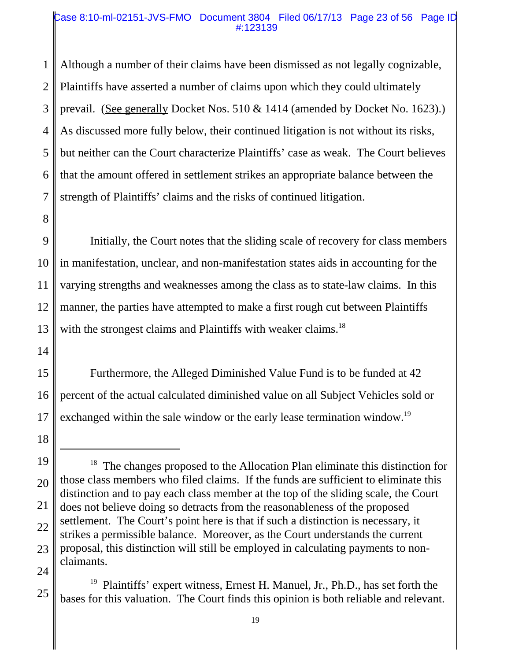#### Case 8:10-ml-02151-JVS-FMO Document 3804 Filed 06/17/13 Page 23 of 56 Page ID #:123139

1 2 3 4 5 6 7 Although a number of their claims have been dismissed as not legally cognizable, Plaintiffs have asserted a number of claims upon which they could ultimately prevail. (See generally Docket Nos. 510 & 1414 (amended by Docket No. 1623).) As discussed more fully below, their continued litigation is not without its risks, but neither can the Court characterize Plaintiffs' case as weak. The Court believes that the amount offered in settlement strikes an appropriate balance between the strength of Plaintiffs' claims and the risks of continued litigation.

8

9 10 11 12 13 Initially, the Court notes that the sliding scale of recovery for class members in manifestation, unclear, and non-manifestation states aids in accounting for the varying strengths and weaknesses among the class as to state-law claims. In this manner, the parties have attempted to make a first rough cut between Plaintiffs with the strongest claims and Plaintiffs with weaker claims.<sup>18</sup>

14

15 16 17 Furthermore, the Alleged Diminished Value Fund is to be funded at 42 percent of the actual calculated diminished value on all Subject Vehicles sold or exchanged within the sale window or the early lease termination window.<sup>19</sup>

<sup>18</sup>

<sup>19</sup> 20 21 22 23 24 <sup>18</sup> The changes proposed to the Allocation Plan eliminate this distinction for those class members who filed claims. If the funds are sufficient to eliminate this distinction and to pay each class member at the top of the sliding scale, the Court does not believe doing so detracts from the reasonableness of the proposed settlement. The Court's point here is that if such a distinction is necessary, it strikes a permissible balance. Moreover, as the Court understands the current proposal, this distinction will still be employed in calculating payments to nonclaimants.

<sup>25</sup> 19 Plaintiffs' expert witness, Ernest H. Manuel, Jr., Ph.D., has set forth the bases for this valuation. The Court finds this opinion is both reliable and relevant.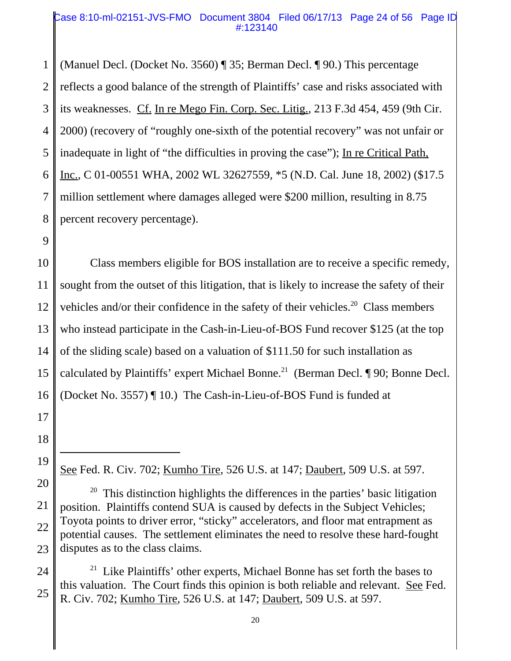#### Case 8:10-ml-02151-JVS-FMO Document 3804 Filed 06/17/13 Page 24 of 56 Page ID #:123140

1 2 3 4 5 6 7 8 (Manuel Decl. (Docket No. 3560) ¶ 35; Berman Decl. ¶ 90.) This percentage reflects a good balance of the strength of Plaintiffs' case and risks associated with its weaknesses. Cf. In re Mego Fin. Corp. Sec. Litig., 213 F.3d 454, 459 (9th Cir. 2000) (recovery of "roughly one-sixth of the potential recovery" was not unfair or inadequate in light of "the difficulties in proving the case"); In re Critical Path, Inc., C 01-00551 WHA, 2002 WL 32627559, \*5 (N.D. Cal. June 18, 2002) (\$17.5 million settlement where damages alleged were \$200 million, resulting in 8.75 percent recovery percentage).

9

10 11 12 13 14 15 16 Class members eligible for BOS installation are to receive a specific remedy, sought from the outset of this litigation, that is likely to increase the safety of their vehicles and/or their confidence in the safety of their vehicles.<sup>20</sup> Class members who instead participate in the Cash-in-Lieu-of-BOS Fund recover \$125 (at the top of the sliding scale) based on a valuation of \$111.50 for such installation as calculated by Plaintiffs' expert Michael Bonne.<sup>21</sup> (Berman Decl.  $\P$  90; Bonne Decl. (Docket No. 3557) ¶ 10.) The Cash-in-Lieu-of-BOS Fund is funded at

18 19

See Fed. R. Civ. 702; Kumho Tire, 526 U.S. at 147; Daubert, 509 U.S. at 597.

<sup>20</sup> 21 22 23  $20$  This distinction highlights the differences in the parties' basic litigation position. Plaintiffs contend SUA is caused by defects in the Subject Vehicles; Toyota points to driver error, "sticky" accelerators, and floor mat entrapment as potential causes. The settlement eliminates the need to resolve these hard-fought disputes as to the class claims.

<sup>24</sup> 25 <sup>21</sup> Like Plaintiffs' other experts, Michael Bonne has set forth the bases to this valuation. The Court finds this opinion is both reliable and relevant. See Fed. R. Civ. 702; Kumho Tire, 526 U.S. at 147; Daubert, 509 U.S. at 597.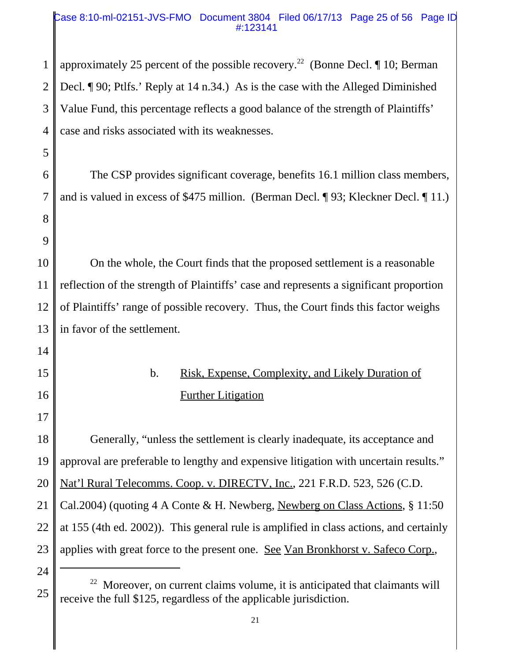#### Case 8:10-ml-02151-JVS-FMO Document 3804 Filed 06/17/13 Page 25 of 56 Page ID #:123141

1 2 3 4 approximately 25 percent of the possible recovery.<sup>22</sup> (Bonne Decl.  $\P$  10; Berman Decl. ¶ 90; Ptlfs.' Reply at 14 n.34.) As is the case with the Alleged Diminished Value Fund, this percentage reflects a good balance of the strength of Plaintiffs' case and risks associated with its weaknesses.

6 7 The CSP provides significant coverage, benefits 16.1 million class members, and is valued in excess of \$475 million. (Berman Decl. ¶ 93; Kleckner Decl. ¶ 11.)

10 11 12 13 On the whole, the Court finds that the proposed settlement is a reasonable reflection of the strength of Plaintiffs' case and represents a significant proportion of Plaintiffs' range of possible recovery. Thus, the Court finds this factor weighs in favor of the settlement.

> b. Risk, Expense, Complexity, and Likely Duration of Further Litigation

18 19 20 21 22 23 Generally, "unless the settlement is clearly inadequate, its acceptance and approval are preferable to lengthy and expensive litigation with uncertain results." Nat'l Rural Telecomms. Coop. v. DIRECTV, Inc., 221 F.R.D. 523, 526 (C.D. Cal.2004) (quoting 4 A Conte & H. Newberg, Newberg on Class Actions, § 11:50 at 155 (4th ed. 2002)). This general rule is amplified in class actions, and certainly applies with great force to the present one. See Van Bronkhorst v. Safeco Corp.,

24

25

5

8

9

14

15

16

 $22$  Moreover, on current claims volume, it is anticipated that claimants will receive the full \$125, regardless of the applicable jurisdiction.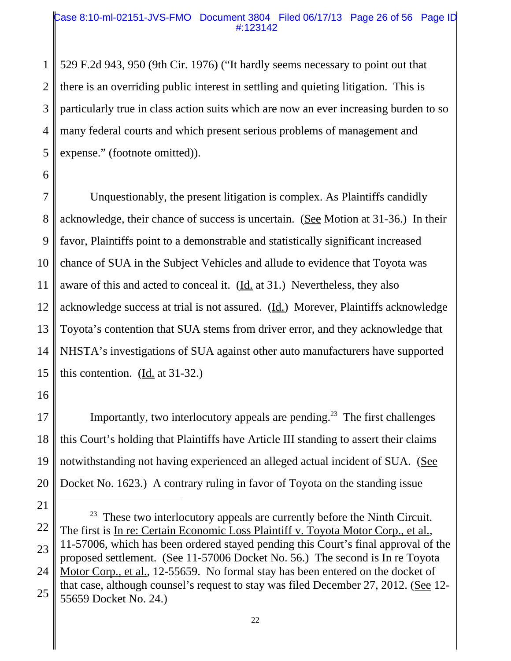#### Case 8:10-ml-02151-JVS-FMO Document 3804 Filed 06/17/13 Page 26 of 56 Page ID #:123142

1 2 3 4 5 529 F.2d 943, 950 (9th Cir. 1976) ("It hardly seems necessary to point out that there is an overriding public interest in settling and quieting litigation. This is particularly true in class action suits which are now an ever increasing burden to so many federal courts and which present serious problems of management and expense." (footnote omitted)).

7 8 9 10 11 12 13 14 15 Unquestionably, the present litigation is complex. As Plaintiffs candidly acknowledge, their chance of success is uncertain. (See Motion at 31-36.) In their favor, Plaintiffs point to a demonstrable and statistically significant increased chance of SUA in the Subject Vehicles and allude to evidence that Toyota was aware of this and acted to conceal it. (Id. at 31.) Nevertheless, they also acknowledge success at trial is not assured.  $(\underline{Id})$  Morever, Plaintiffs acknowledge Toyota's contention that SUA stems from driver error, and they acknowledge that NHSTA's investigations of SUA against other auto manufacturers have supported this contention. (Id. at 31-32.)

16

6

17 18 19 20 Importantly, two interlocutory appeals are pending.<sup>23</sup> The first challenges this Court's holding that Plaintiffs have Article III standing to assert their claims notwithstanding not having experienced an alleged actual incident of SUA. (See Docket No. 1623.) A contrary ruling in favor of Toyota on the standing issue

<sup>21</sup> 22 23 24 25  $23$  These two interlocutory appeals are currently before the Ninth Circuit. The first is In re: Certain Economic Loss Plaintiff v. Toyota Motor Corp., et al., 11-57006, which has been ordered stayed pending this Court's final approval of the proposed settlement. (See 11-57006 Docket No. 56.) The second is In re Toyota Motor Corp., et al., 12-55659. No formal stay has been entered on the docket of that case, although counsel's request to stay was filed December 27, 2012. (See 12- 55659 Docket No. 24.)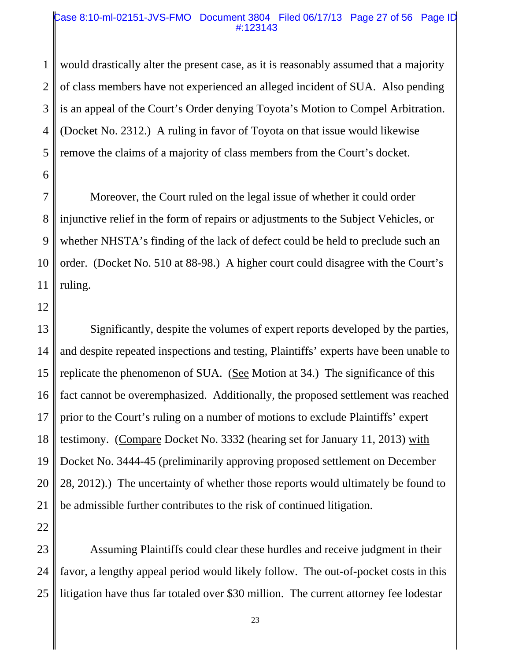#### Case 8:10-ml-02151-JVS-FMO Document 3804 Filed 06/17/13 Page 27 of 56 Page ID #:123143

1 2 3 4 5 would drastically alter the present case, as it is reasonably assumed that a majority of class members have not experienced an alleged incident of SUA. Also pending is an appeal of the Court's Order denying Toyota's Motion to Compel Arbitration. (Docket No. 2312.) A ruling in favor of Toyota on that issue would likewise remove the claims of a majority of class members from the Court's docket.

7 8 9 10 11 Moreover, the Court ruled on the legal issue of whether it could order injunctive relief in the form of repairs or adjustments to the Subject Vehicles, or whether NHSTA's finding of the lack of defect could be held to preclude such an order. (Docket No. 510 at 88-98.) A higher court could disagree with the Court's ruling.

12

6

13 14 15 16 17 18 19 20 21 Significantly, despite the volumes of expert reports developed by the parties, and despite repeated inspections and testing, Plaintiffs' experts have been unable to replicate the phenomenon of SUA. (See Motion at 34.) The significance of this fact cannot be overemphasized. Additionally, the proposed settlement was reached prior to the Court's ruling on a number of motions to exclude Plaintiffs' expert testimony. (Compare Docket No. 3332 (hearing set for January 11, 2013) with Docket No. 3444-45 (preliminarily approving proposed settlement on December 28, 2012).) The uncertainty of whether those reports would ultimately be found to be admissible further contributes to the risk of continued litigation.

22

23 24 25 Assuming Plaintiffs could clear these hurdles and receive judgment in their favor, a lengthy appeal period would likely follow. The out-of-pocket costs in this litigation have thus far totaled over \$30 million. The current attorney fee lodestar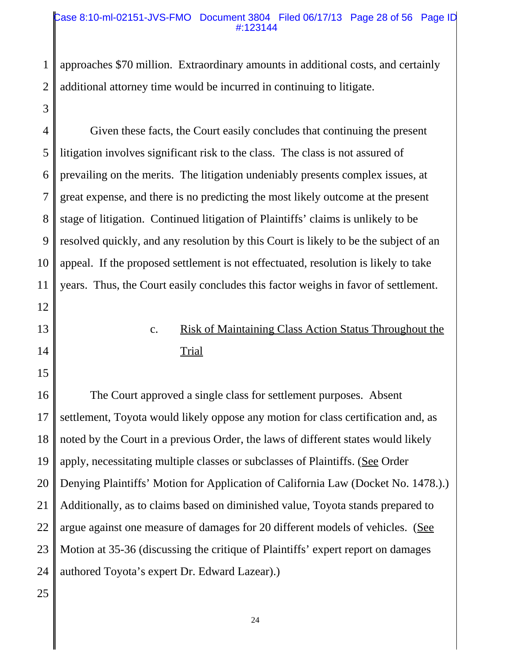#### Case 8:10-ml-02151-JVS-FMO Document 3804 Filed 06/17/13 Page 28 of 56 Page ID #:123144

1 2 approaches \$70 million. Extraordinary amounts in additional costs, and certainly additional attorney time would be incurred in continuing to litigate.

4 5 6 7 8 9 10 11 12 Given these facts, the Court easily concludes that continuing the present litigation involves significant risk to the class. The class is not assured of prevailing on the merits. The litigation undeniably presents complex issues, at great expense, and there is no predicting the most likely outcome at the present stage of litigation. Continued litigation of Plaintiffs' claims is unlikely to be resolved quickly, and any resolution by this Court is likely to be the subject of an appeal. If the proposed settlement is not effectuated, resolution is likely to take years. Thus, the Court easily concludes this factor weighs in favor of settlement.

> c. Risk of Maintaining Class Action Status Throughout the **Trial**

16 17 18 19 20 21 22 23 24 The Court approved a single class for settlement purposes. Absent settlement, Toyota would likely oppose any motion for class certification and, as noted by the Court in a previous Order, the laws of different states would likely apply, necessitating multiple classes or subclasses of Plaintiffs. (See Order Denying Plaintiffs' Motion for Application of California Law (Docket No. 1478.).) Additionally, as to claims based on diminished value, Toyota stands prepared to argue against one measure of damages for 20 different models of vehicles. (See Motion at 35-36 (discussing the critique of Plaintiffs' expert report on damages authored Toyota's expert Dr. Edward Lazear).)

25

3

13

14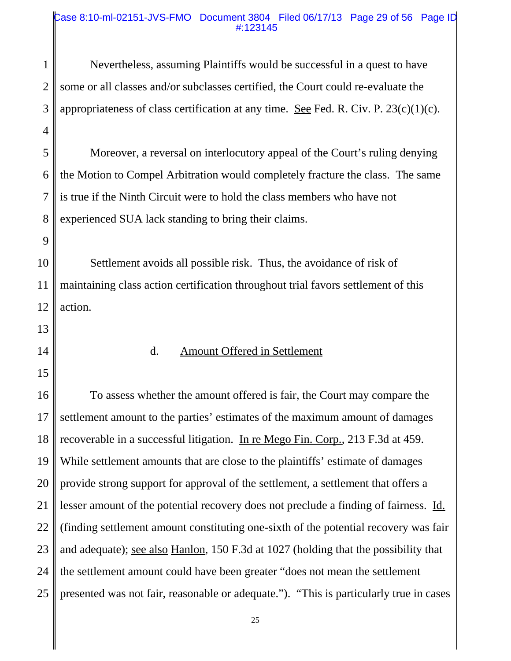#### Case 8:10-ml-02151-JVS-FMO Document 3804 Filed 06/17/13 Page 29 of 56 Page ID #:123145

| $\mathbf{1}$   | Nevertheless, assuming Plaintiffs would be successful in a quest to have                    |
|----------------|---------------------------------------------------------------------------------------------|
| $\overline{2}$ | some or all classes and/or subclasses certified, the Court could re-evaluate the            |
|                |                                                                                             |
| 3              | appropriateness of class certification at any time. See Fed. R. Civ. P. $23(c)(1)(c)$ .     |
| $\overline{4}$ |                                                                                             |
| 5              | Moreover, a reversal on interlocutory appeal of the Court's ruling denying                  |
| 6              | the Motion to Compel Arbitration would completely fracture the class. The same              |
| 7              | is true if the Ninth Circuit were to hold the class members who have not                    |
| 8              | experienced SUA lack standing to bring their claims.                                        |
| 9              |                                                                                             |
| 10             | Settlement avoids all possible risk. Thus, the avoidance of risk of                         |
| 11             | maintaining class action certification throughout trial favors settlement of this           |
| 12             | action.                                                                                     |
| 13             |                                                                                             |
| 14             | <b>Amount Offered in Settlement</b><br>d.                                                   |
| 15             |                                                                                             |
| 16             | To assess whether the amount offered is fair, the Court may compare the                     |
| 17             | settlement amount to the parties' estimates of the maximum amount of damages                |
| 18             | recoverable in a successful litigation. In re Mego Fin. Corp., 213 F.3d at 459.             |
| 19             | While settlement amounts that are close to the plaintiffs' estimate of damages              |
| 20             | provide strong support for approval of the settlement, a settlement that offers a           |
| 21             | lesser amount of the potential recovery does not preclude a finding of fairness. Id.        |
| 22             | (finding settlement amount constituting one-sixth of the potential recovery was fair        |
| 23             | and adequate); <u>see also Hanlon</u> , 150 F.3d at 1027 (holding that the possibility that |
| 24             | the settlement amount could have been greater "does not mean the settlement"                |
| 25             | presented was not fair, reasonable or adequate."). "This is particularly true in cases      |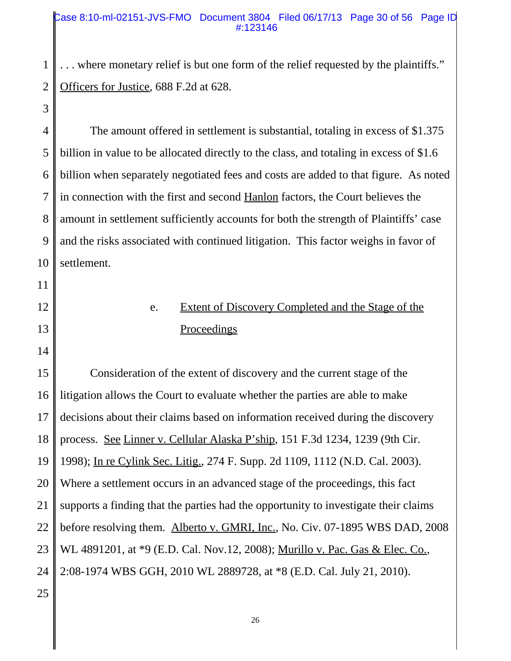#### Case 8:10-ml-02151-JVS-FMO Document 3804 Filed 06/17/13 Page 30 of 56 Page ID #:123146

1 2 . . . where monetary relief is but one form of the relief requested by the plaintiffs." Officers for Justice, 688 F.2d at 628.

3

11

12

13

14

4 5 6 7 8 9 10 The amount offered in settlement is substantial, totaling in excess of \$1.375 billion in value to be allocated directly to the class, and totaling in excess of \$1.6 billion when separately negotiated fees and costs are added to that figure. As noted in connection with the first and second Hanlon factors, the Court believes the amount in settlement sufficiently accounts for both the strength of Plaintiffs' case and the risks associated with continued litigation. This factor weighs in favor of settlement.

> e. Extent of Discovery Completed and the Stage of the Proceedings

15 16 17 18 19 20 21 22 23 24 25 Consideration of the extent of discovery and the current stage of the litigation allows the Court to evaluate whether the parties are able to make decisions about their claims based on information received during the discovery process. See Linner v. Cellular Alaska P'ship, 151 F.3d 1234, 1239 (9th Cir. 1998); In re Cylink Sec. Litig., 274 F. Supp. 2d 1109, 1112 (N.D. Cal. 2003). Where a settlement occurs in an advanced stage of the proceedings, this fact supports a finding that the parties had the opportunity to investigate their claims before resolving them. Alberto v. GMRI, Inc., No. Civ. 07-1895 WBS DAD, 2008 WL 4891201, at \*9 (E.D. Cal. Nov.12, 2008); <u>Murillo v. Pac. Gas & Elec. Co.</u>, 2:08-1974 WBS GGH, 2010 WL 2889728, at \*8 (E.D. Cal. July 21, 2010).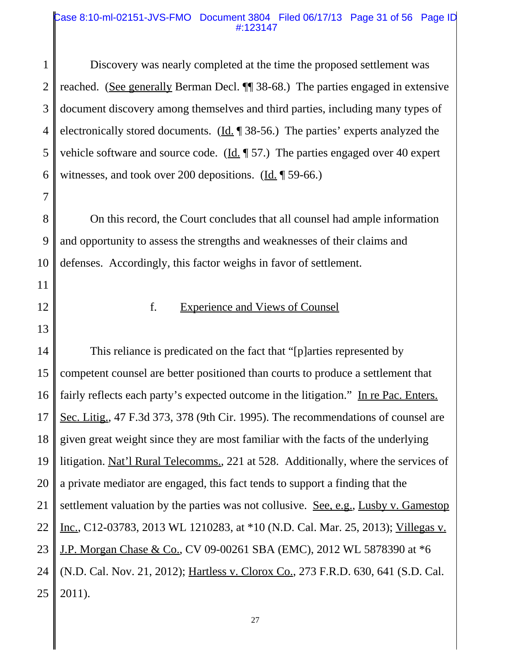#### Case 8:10-ml-02151-JVS-FMO Document 3804 Filed 06/17/13 Page 31 of 56 Page ID #:123147

1 2 3 4 5 6 7 8 9 10 11 12 13 14 15 16 Discovery was nearly completed at the time the proposed settlement was reached. (See generally Berman Decl. ¶¶ 38-68.) The parties engaged in extensive document discovery among themselves and third parties, including many types of electronically stored documents. (Id. 138-56.) The parties' experts analyzed the vehicle software and source code. (Id.  $\parallel$  57.) The parties engaged over 40 expert witnesses, and took over 200 depositions.  $(\underline{Id}$ . [59-66.) On this record, the Court concludes that all counsel had ample information and opportunity to assess the strengths and weaknesses of their claims and defenses. Accordingly, this factor weighs in favor of settlement. f. Experience and Views of Counsel This reliance is predicated on the fact that "[p]arties represented by competent counsel are better positioned than courts to produce a settlement that fairly reflects each party's expected outcome in the litigation." In re Pac. Enters.

17 Sec. Litig., 47 F.3d 373, 378 (9th Cir. 1995). The recommendations of counsel are

18 given great weight since they are most familiar with the facts of the underlying

19 litigation. Nat'l Rural Telecomms., 221 at 528. Additionally, where the services of

20 a private mediator are engaged, this fact tends to support a finding that the

21 settlement valuation by the parties was not collusive. <u>See, e.g., Lusby v. Gamestop</u>

22 Inc., C12-03783, 2013 WL 1210283, at \*10 (N.D. Cal. Mar. 25, 2013); Villegas v.

23 J.P. Morgan Chase & Co., CV 09-00261 SBA (EMC), 2012 WL 5878390 at  $*6$ 

24 (N.D. Cal. Nov. 21, 2012); Hartless v. Clorox Co., 273 F.R.D. 630, 641 (S.D. Cal.

25 2011).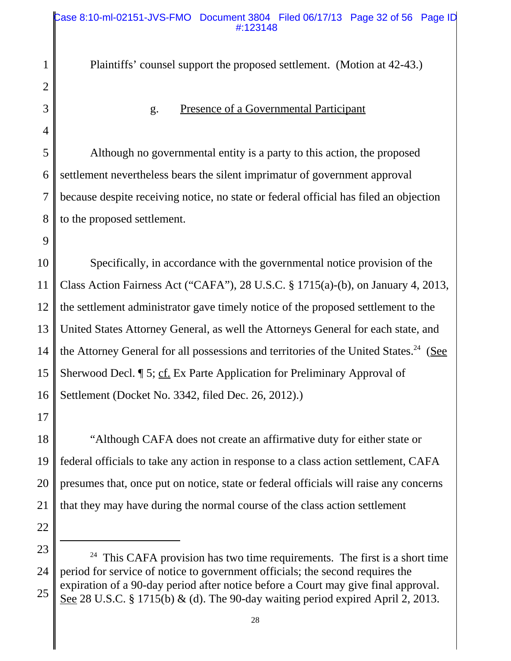Plaintiffs' counsel support the proposed settlement. (Motion at 42-43.) g. Presence of a Governmental Participant Although no governmental entity is a party to this action, the proposed settlement nevertheless bears the silent imprimatur of government approval because despite receiving notice, no state or federal official has filed an objection to the proposed settlement.

10 11 12 13 14 15 16 Specifically, in accordance with the governmental notice provision of the Class Action Fairness Act ("CAFA"), 28 U.S.C. § 1715(a)-(b), on January 4, 2013, the settlement administrator gave timely notice of the proposed settlement to the United States Attorney General, as well the Attorneys General for each state, and the Attorney General for all possessions and territories of the United States.<sup>24</sup> (See Sherwood Decl. **[5**; cf. Ex Parte Application for Preliminary Approval of Settlement (Docket No. 3342, filed Dec. 26, 2012).)

17

1

2

3

4

5

6

7

8

9

18 19 20 21 "Although CAFA does not create an affirmative duty for either state or federal officials to take any action in response to a class action settlement, CAFA presumes that, once put on notice, state or federal officials will raise any concerns that they may have during the normal course of the class action settlement

23

<sup>24</sup> 25  $24$  This CAFA provision has two time requirements. The first is a short time period for service of notice to government officials; the second requires the expiration of a 90-day period after notice before a Court may give final approval. See 28 U.S.C. § 1715(b) & (d). The 90-day waiting period expired April 2, 2013.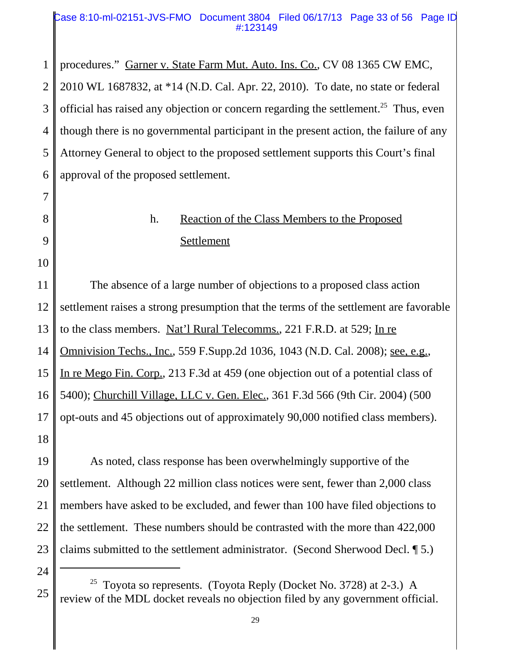#### Case 8:10-ml-02151-JVS-FMO Document 3804 Filed 06/17/13 Page 33 of 56 Page ID #:123149

1 2 3 4 5 6 procedures." Garner v. State Farm Mut. Auto. Ins. Co., CV 08 1365 CW EMC, 2010 WL 1687832, at \*14 (N.D. Cal. Apr. 22, 2010). To date, no state or federal official has raised any objection or concern regarding the settlement.<sup>25</sup> Thus, even though there is no governmental participant in the present action, the failure of any Attorney General to object to the proposed settlement supports this Court's final approval of the proposed settlement.

# h. Reaction of the Class Members to the Proposed Settlement

11 12 13 14 15 16 17 18 The absence of a large number of objections to a proposed class action settlement raises a strong presumption that the terms of the settlement are favorable to the class members. Nat'<u>l Rural Telecomms.</u>, 221 F.R.D. at 529; In re Omnivision Techs., Inc., 559 F.Supp.2d 1036, 1043 (N.D. Cal. 2008); see, e.g., In re Mego Fin. Corp., 213 F.3d at 459 (one objection out of a potential class of 5400); Churchill Village, LLC v. Gen. Elec., 361 F.3d 566 (9th Cir. 2004) (500 opt-outs and 45 objections out of approximately 90,000 notified class members).

19 20 21 22 23 As noted, class response has been overwhelmingly supportive of the settlement. Although 22 million class notices were sent, fewer than 2,000 class members have asked to be excluded, and fewer than 100 have filed objections to the settlement. These numbers should be contrasted with the more than 422,000 claims submitted to the settlement administrator. (Second Sherwood Decl. ¶ 5.)

24

25

7

8

9

<sup>&</sup>lt;sup>25</sup> Toyota so represents. (Toyota Reply (Docket No. 3728) at 2-3.) A review of the MDL docket reveals no objection filed by any government official.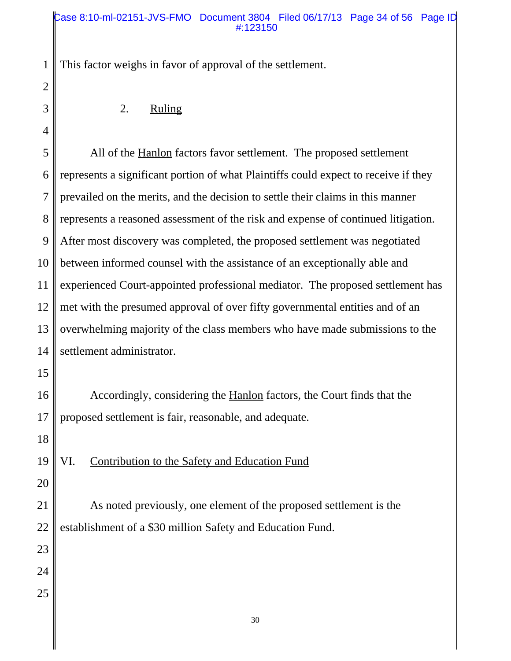This factor weighs in favor of approval of the settlement.

2. Ruling

5 6 7 8 9 10 11 12 13 14 All of the Hanlon factors favor settlement. The proposed settlement represents a significant portion of what Plaintiffs could expect to receive if they prevailed on the merits, and the decision to settle their claims in this manner represents a reasoned assessment of the risk and expense of continued litigation. After most discovery was completed, the proposed settlement was negotiated between informed counsel with the assistance of an exceptionally able and experienced Court-appointed professional mediator. The proposed settlement has met with the presumed approval of over fifty governmental entities and of an overwhelming majority of the class members who have made submissions to the settlement administrator.

16 17 Accordingly, considering the Hanlon factors, the Court finds that the proposed settlement is fair, reasonable, and adequate.

18

15

1

2

3

4

19 VI. Contribution to the Safety and Education Fund

20

21 22 As noted previously, one element of the proposed settlement is the establishment of a \$30 million Safety and Education Fund.

23

24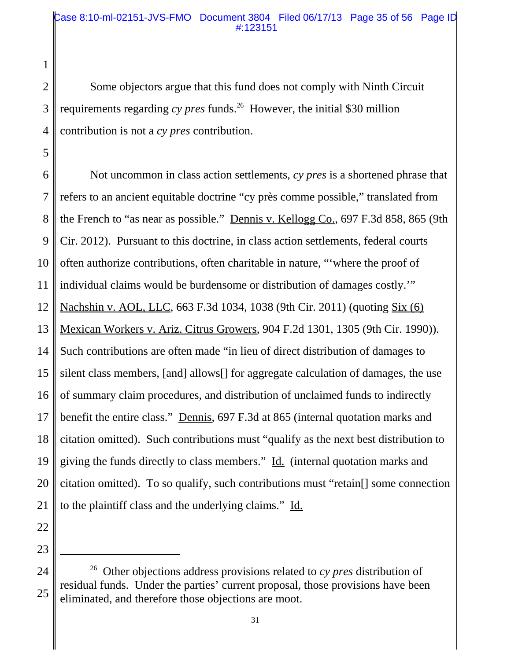2 3 4 Some objectors argue that this fund does not comply with Ninth Circuit requirements regarding *cy pres* funds.<sup>26</sup> However, the initial \$30 million contribution is not a *cy pres* contribution.

6 7 8 9 10 11 12 13 14 15 16 17 18 19 20 21 Not uncommon in class action settlements, *cy pres* is a shortened phrase that refers to an ancient equitable doctrine "cy près comme possible," translated from the French to "as near as possible." Dennis v. Kellogg Co., 697 F.3d 858, 865 (9th Cir. 2012). Pursuant to this doctrine, in class action settlements, federal courts often authorize contributions, often charitable in nature, "'where the proof of individual claims would be burdensome or distribution of damages costly.'" Nachshin v. AOL, LLC, 663 F.3d 1034, 1038 (9th Cir. 2011) (quoting Six (6) Mexican Workers v. Ariz. Citrus Growers, 904 F.2d 1301, 1305 (9th Cir. 1990)). Such contributions are often made "in lieu of direct distribution of damages to silent class members, [and] allows[] for aggregate calculation of damages, the use of summary claim procedures, and distribution of unclaimed funds to indirectly benefit the entire class." Dennis, 697 F.3d at 865 (internal quotation marks and citation omitted). Such contributions must "qualify as the next best distribution to giving the funds directly to class members." Id. (internal quotation marks and citation omitted). To so qualify, such contributions must "retain[] some connection to the plaintiff class and the underlying claims." Id.

23

22

1

<sup>24</sup> 25 26 Other objections address provisions related to *cy pres* distribution of residual funds. Under the parties' current proposal, those provisions have been eliminated, and therefore those objections are moot.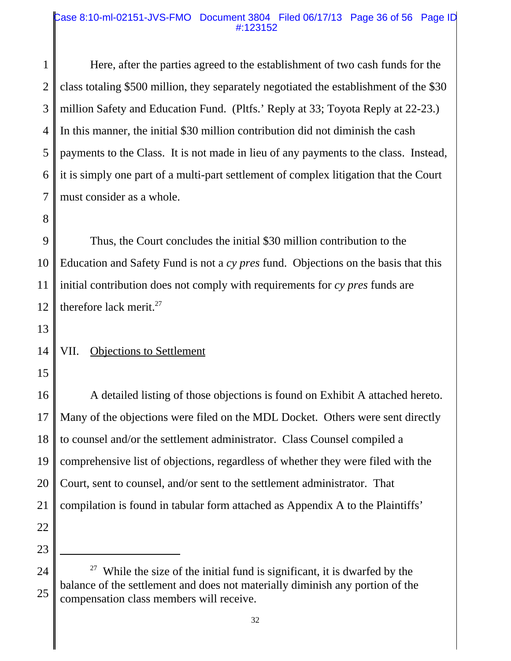#### Case 8:10-ml-02151-JVS-FMO Document 3804 Filed 06/17/13 Page 36 of 56 Page ID #:123152

1 2 3 4 5 6 7 Here, after the parties agreed to the establishment of two cash funds for the class totaling \$500 million, they separately negotiated the establishment of the \$30 million Safety and Education Fund. (Pltfs.' Reply at 33; Toyota Reply at 22-23.) In this manner, the initial \$30 million contribution did not diminish the cash payments to the Class. It is not made in lieu of any payments to the class. Instead, it is simply one part of a multi-part settlement of complex litigation that the Court must consider as a whole.

9 10 11 12 Thus, the Court concludes the initial \$30 million contribution to the Education and Safety Fund is not a *cy pres* fund. Objections on the basis that this initial contribution does not comply with requirements for *cy pres* funds are therefore lack merit.<sup>27</sup>

13

8

#### 14 VII. Objections to Settlement

15

16 17 18 19 20 21 22 A detailed listing of those objections is found on Exhibit A attached hereto. Many of the objections were filed on the MDL Docket. Others were sent directly to counsel and/or the settlement administrator. Class Counsel compiled a comprehensive list of objections, regardless of whether they were filed with the Court, sent to counsel, and/or sent to the settlement administrator. That compilation is found in tabular form attached as Appendix A to the Plaintiffs'

- 23
- 24

<sup>&</sup>lt;sup>27</sup> While the size of the initial fund is significant, it is dwarfed by the balance of the settlement and does not materially diminish any portion of the compensation class members will receive.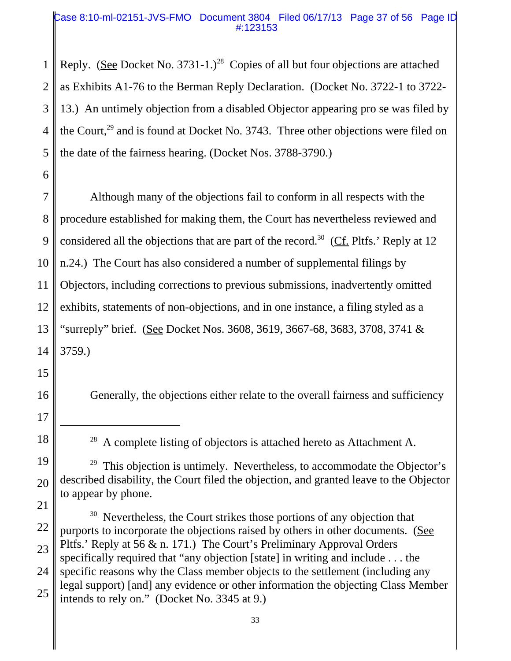#### Case 8:10-ml-02151-JVS-FMO Document 3804 Filed 06/17/13 Page 37 of 56 Page ID #:123153

1 2 3 4 5 Reply. (See Docket No. 3731-1.)<sup>28</sup> Copies of all but four objections are attached as Exhibits A1-76 to the Berman Reply Declaration. (Docket No. 3722-1 to 3722- 13.) An untimely objection from a disabled Objector appearing pro se was filed by the Court,<sup>29</sup> and is found at Docket No. 3743. Three other objections were filed on the date of the fairness hearing. (Docket Nos. 3788-3790.)

7 8 9 10 11 12 13 14 Although many of the objections fail to conform in all respects with the procedure established for making them, the Court has nevertheless reviewed and considered all the objections that are part of the record.<sup>30</sup> (Cf. Pltfs.' Reply at 12 n.24.) The Court has also considered a number of supplemental filings by Objectors, including corrections to previous submissions, inadvertently omitted exhibits, statements of non-objections, and in one instance, a filing styled as a "surreply" brief. (See Docket Nos. 3608, 3619, 3667-68, 3683, 3708, 3741 & 3759.)

15

6

16

Generally, the objections either relate to the overall fairness and sufficiency

17

18

 $28$  A complete listing of objectors is attached hereto as Attachment A.

<sup>19</sup> 20  $29$  This objection is untimely. Nevertheless, to accommodate the Objector's described disability, the Court filed the objection, and granted leave to the Objector to appear by phone.

<sup>21</sup> 22 23 24 25 <sup>30</sup> Nevertheless, the Court strikes those portions of any objection that purports to incorporate the objections raised by others in other documents. (See Pltfs.' Reply at 56 & n. 171.) The Court's Preliminary Approval Orders specifically required that "any objection [state] in writing and include . . . the specific reasons why the Class member objects to the settlement (including any legal support) [and] any evidence or other information the objecting Class Member intends to rely on." (Docket No. 3345 at 9.)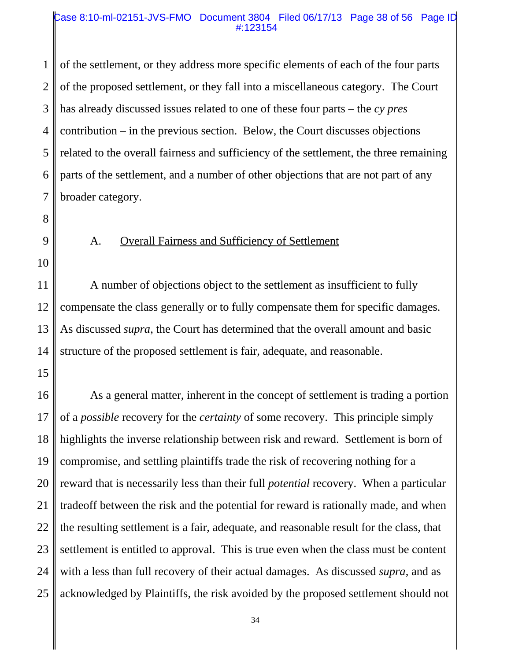#### Case 8:10-ml-02151-JVS-FMO Document 3804 Filed 06/17/13 Page 38 of 56 Page ID #:123154

1 2 3 4 5 6 7 of the settlement, or they address more specific elements of each of the four parts of the proposed settlement, or they fall into a miscellaneous category. The Court has already discussed issues related to one of these four parts – the *cy pres* contribution – in the previous section. Below, the Court discusses objections related to the overall fairness and sufficiency of the settlement, the three remaining parts of the settlement, and a number of other objections that are not part of any broader category.

8

9

### A. Overall Fairness and Sufficiency of Settlement

10

11

12 13 14 A number of objections object to the settlement as insufficient to fully compensate the class generally or to fully compensate them for specific damages. As discussed *supra*, the Court has determined that the overall amount and basic structure of the proposed settlement is fair, adequate, and reasonable.

15

16 17 18 19 20 21 22 23 24 25 As a general matter, inherent in the concept of settlement is trading a portion of a *possible* recovery for the *certainty* of some recovery. This principle simply highlights the inverse relationship between risk and reward. Settlement is born of compromise, and settling plaintiffs trade the risk of recovering nothing for a reward that is necessarily less than their full *potential* recovery. When a particular tradeoff between the risk and the potential for reward is rationally made, and when the resulting settlement is a fair, adequate, and reasonable result for the class, that settlement is entitled to approval. This is true even when the class must be content with a less than full recovery of their actual damages. As discussed *supra*, and as acknowledged by Plaintiffs, the risk avoided by the proposed settlement should not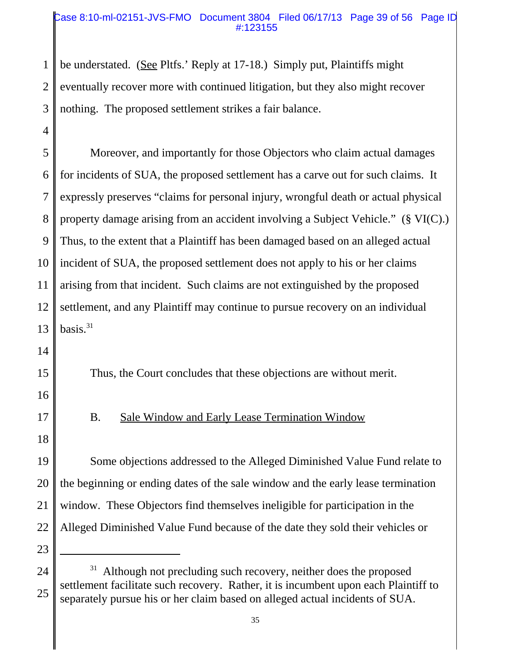#### Case 8:10-ml-02151-JVS-FMO Document 3804 Filed 06/17/13 Page 39 of 56 Page ID #:123155

1 2 3 be understated. (See Pltfs.' Reply at 17-18.) Simply put, Plaintiffs might eventually recover more with continued litigation, but they also might recover nothing. The proposed settlement strikes a fair balance.

5 6 7 8 9 10 11 12 13 Moreover, and importantly for those Objectors who claim actual damages for incidents of SUA, the proposed settlement has a carve out for such claims. It expressly preserves "claims for personal injury, wrongful death or actual physical property damage arising from an accident involving a Subject Vehicle." (§ VI(C).) Thus, to the extent that a Plaintiff has been damaged based on an alleged actual incident of SUA, the proposed settlement does not apply to his or her claims arising from that incident. Such claims are not extinguished by the proposed settlement, and any Plaintiff may continue to pursue recovery on an individual basis. $31$ 

Thus, the Court concludes that these objections are without merit.

16

14

15

4

17

18

# B. Sale Window and Early Lease Termination Window

19 20 21 22 Some objections addressed to the Alleged Diminished Value Fund relate to the beginning or ending dates of the sale window and the early lease termination window. These Objectors find themselves ineligible for participation in the Alleged Diminished Value Fund because of the date they sold their vehicles or

<sup>24</sup> 25  $31$  Although not precluding such recovery, neither does the proposed settlement facilitate such recovery. Rather, it is incumbent upon each Plaintiff to separately pursue his or her claim based on alleged actual incidents of SUA.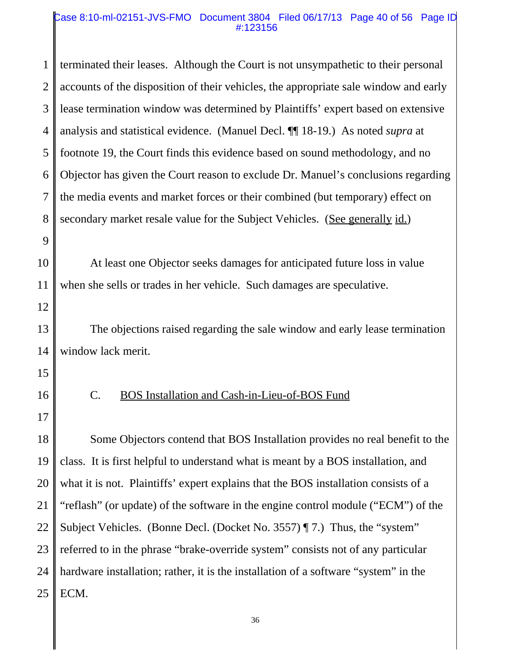#### Case 8:10-ml-02151-JVS-FMO Document 3804 Filed 06/17/13 Page 40 of 56 Page ID #:123156

1 2 3 4 5 6 7 8 9 10 11 12 13 14 15 16 17 18 19 20 21 22 23 24 25 terminated their leases. Although the Court is not unsympathetic to their personal accounts of the disposition of their vehicles, the appropriate sale window and early lease termination window was determined by Plaintiffs' expert based on extensive analysis and statistical evidence. (Manuel Decl. ¶¶ 18-19.) As noted *supra* at footnote 19, the Court finds this evidence based on sound methodology, and no Objector has given the Court reason to exclude Dr. Manuel's conclusions regarding the media events and market forces or their combined (but temporary) effect on secondary market resale value for the Subject Vehicles. (See generally id.) At least one Objector seeks damages for anticipated future loss in value when she sells or trades in her vehicle. Such damages are speculative. The objections raised regarding the sale window and early lease termination window lack merit. C. BOS Installation and Cash-in-Lieu-of-BOS Fund Some Objectors contend that BOS Installation provides no real benefit to the class. It is first helpful to understand what is meant by a BOS installation, and what it is not. Plaintiffs' expert explains that the BOS installation consists of a "reflash" (or update) of the software in the engine control module ("ECM") of the Subject Vehicles. (Bonne Decl. (Docket No. 3557) ¶ 7.) Thus, the "system" referred to in the phrase "brake-override system" consists not of any particular hardware installation; rather, it is the installation of a software "system" in the ECM.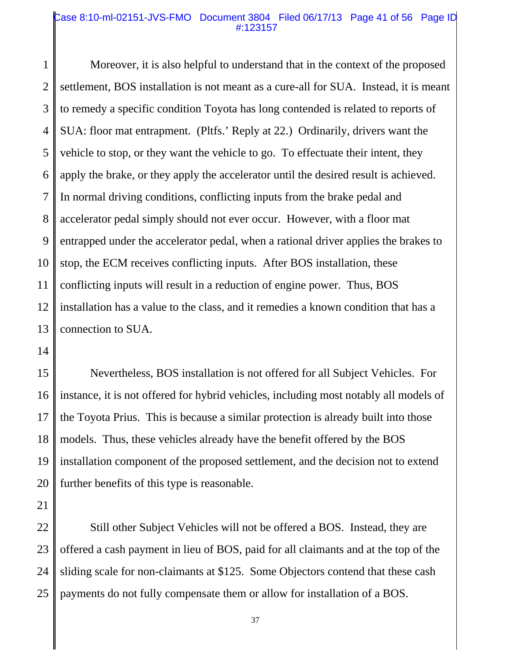#### Case 8:10-ml-02151-JVS-FMO Document 3804 Filed 06/17/13 Page 41 of 56 Page ID #:123157

1 2 3 4 5 6 7 8 9 10 11 12 13 Moreover, it is also helpful to understand that in the context of the proposed settlement, BOS installation is not meant as a cure-all for SUA. Instead, it is meant to remedy a specific condition Toyota has long contended is related to reports of SUA: floor mat entrapment. (Pltfs.' Reply at 22.) Ordinarily, drivers want the vehicle to stop, or they want the vehicle to go. To effectuate their intent, they apply the brake, or they apply the accelerator until the desired result is achieved. In normal driving conditions, conflicting inputs from the brake pedal and accelerator pedal simply should not ever occur. However, with a floor mat entrapped under the accelerator pedal, when a rational driver applies the brakes to stop, the ECM receives conflicting inputs. After BOS installation, these conflicting inputs will result in a reduction of engine power. Thus, BOS installation has a value to the class, and it remedies a known condition that has a connection to SUA.

14

15 16 17 18 19 20 Nevertheless, BOS installation is not offered for all Subject Vehicles. For instance, it is not offered for hybrid vehicles, including most notably all models of the Toyota Prius. This is because a similar protection is already built into those models. Thus, these vehicles already have the benefit offered by the BOS installation component of the proposed settlement, and the decision not to extend further benefits of this type is reasonable.

21

22 23 24 25 Still other Subject Vehicles will not be offered a BOS. Instead, they are offered a cash payment in lieu of BOS, paid for all claimants and at the top of the sliding scale for non-claimants at \$125. Some Objectors contend that these cash payments do not fully compensate them or allow for installation of a BOS.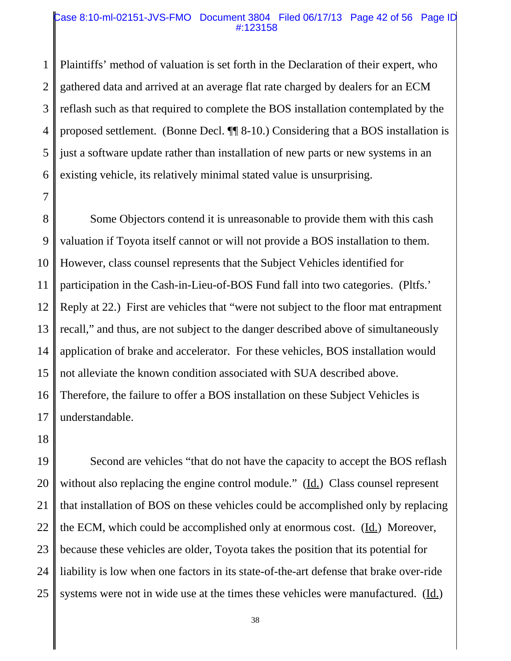#### Case 8:10-ml-02151-JVS-FMO Document 3804 Filed 06/17/13 Page 42 of 56 Page ID #:123158

1 2 3 4 5 6 Plaintiffs' method of valuation is set forth in the Declaration of their expert, who gathered data and arrived at an average flat rate charged by dealers for an ECM reflash such as that required to complete the BOS installation contemplated by the proposed settlement. (Bonne Decl. ¶¶ 8-10.) Considering that a BOS installation is just a software update rather than installation of new parts or new systems in an existing vehicle, its relatively minimal stated value is unsurprising.

8 9 10 11 12 13 14 15 16 17 Some Objectors contend it is unreasonable to provide them with this cash valuation if Toyota itself cannot or will not provide a BOS installation to them. However, class counsel represents that the Subject Vehicles identified for participation in the Cash-in-Lieu-of-BOS Fund fall into two categories. (Pltfs.' Reply at 22.) First are vehicles that "were not subject to the floor mat entrapment recall," and thus, are not subject to the danger described above of simultaneously application of brake and accelerator. For these vehicles, BOS installation would not alleviate the known condition associated with SUA described above. Therefore, the failure to offer a BOS installation on these Subject Vehicles is understandable.

18

7

19 20 21 22 23 24 25 Second are vehicles "that do not have the capacity to accept the BOS reflash without also replacing the engine control module." ( $\underline{Id}$ .) Class counsel represent that installation of BOS on these vehicles could be accomplished only by replacing the ECM, which could be accomplished only at enormous cost. (Id.) Moreover, because these vehicles are older, Toyota takes the position that its potential for liability is low when one factors in its state-of-the-art defense that brake over-ride systems were not in wide use at the times these vehicles were manufactured. (Id.)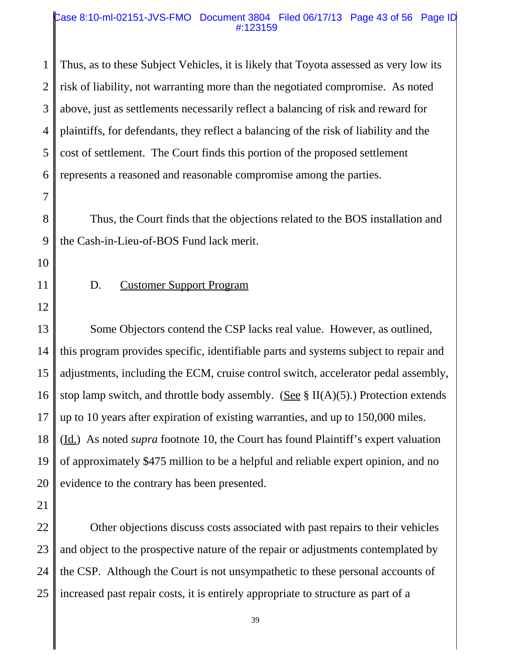#### Case 8:10-ml-02151-JVS-FMO Document 3804 Filed 06/17/13 Page 43 of 56 Page ID #:123159

1 2 3 4 5 6 Thus, as to these Subject Vehicles, it is likely that Toyota assessed as very low its risk of liability, not warranting more than the negotiated compromise. As noted above, just as settlements necessarily reflect a balancing of risk and reward for plaintiffs, for defendants, they reflect a balancing of the risk of liability and the cost of settlement. The Court finds this portion of the proposed settlement represents a reasoned and reasonable compromise among the parties.

8 9 Thus, the Court finds that the objections related to the BOS installation and the Cash-in-Lieu-of-BOS Fund lack merit.

10

7

11

# D. Customer Support Program

12

13 14 15 16 17 18 19 20 Some Objectors contend the CSP lacks real value. However, as outlined, this program provides specific, identifiable parts and systems subject to repair and adjustments, including the ECM, cruise control switch, accelerator pedal assembly, stop lamp switch, and throttle body assembly. (See  $\S$  II(A)(5).) Protection extends up to 10 years after expiration of existing warranties, and up to 150,000 miles. (Id.) As noted *supra* footnote 10, the Court has found Plaintiff's expert valuation of approximately \$475 million to be a helpful and reliable expert opinion, and no evidence to the contrary has been presented.

21

22 23 24 25 Other objections discuss costs associated with past repairs to their vehicles and object to the prospective nature of the repair or adjustments contemplated by the CSP. Although the Court is not unsympathetic to these personal accounts of increased past repair costs, it is entirely appropriate to structure as part of a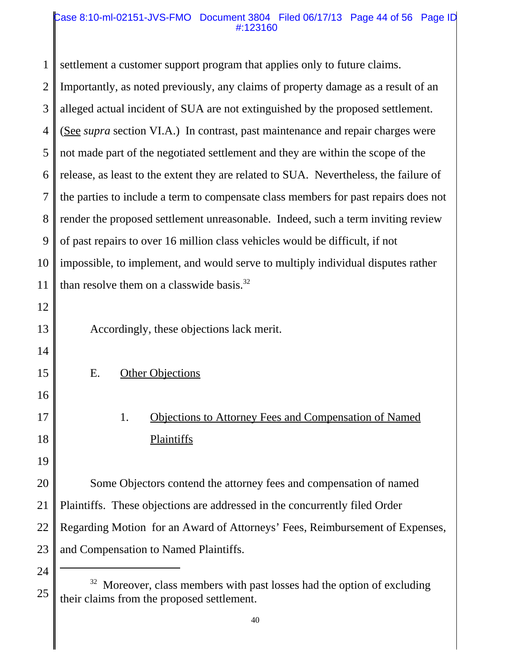#### Case 8:10-ml-02151-JVS-FMO Document 3804 Filed 06/17/13 Page 44 of 56 Page ID #:123160

1 2 3 4 5 6 7 8 9 10 11 12 13 14 15 16 17 18 19 20 21 22 23 24 settlement a customer support program that applies only to future claims. Importantly, as noted previously, any claims of property damage as a result of an alleged actual incident of SUA are not extinguished by the proposed settlement. (See *supra* section VI.A.) In contrast, past maintenance and repair charges were not made part of the negotiated settlement and they are within the scope of the release, as least to the extent they are related to SUA. Nevertheless, the failure of the parties to include a term to compensate class members for past repairs does not render the proposed settlement unreasonable. Indeed, such a term inviting review of past repairs to over 16 million class vehicles would be difficult, if not impossible, to implement, and would serve to multiply individual disputes rather than resolve them on a classwide basis. $32$ Accordingly, these objections lack merit. E. Other Objections 1. Objections to Attorney Fees and Compensation of Named Plaintiffs Some Objectors contend the attorney fees and compensation of named Plaintiffs. These objections are addressed in the concurrently filed Order Regarding Motion for an Award of Attorneys' Fees, Reimbursement of Expenses, and Compensation to Named Plaintiffs.

<sup>25</sup> <sup>32</sup> Moreover, class members with past losses had the option of excluding their claims from the proposed settlement.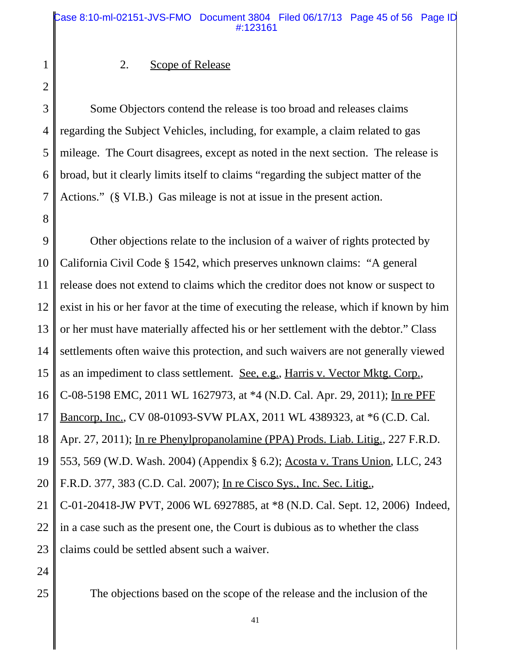### 2. Scope of Release

2 3

4

5

6

7

8

1

Some Objectors contend the release is too broad and releases claims regarding the Subject Vehicles, including, for example, a claim related to gas mileage. The Court disagrees, except as noted in the next section. The release is broad, but it clearly limits itself to claims "regarding the subject matter of the Actions." (§ VI.B.) Gas mileage is not at issue in the present action.

9 10 11 12 13 14 15 16 17 18 19 20 21 22 23 24 Other objections relate to the inclusion of a waiver of rights protected by California Civil Code § 1542, which preserves unknown claims: "A general release does not extend to claims which the creditor does not know or suspect to exist in his or her favor at the time of executing the release, which if known by him or her must have materially affected his or her settlement with the debtor." Class settlements often waive this protection, and such waivers are not generally viewed as an impediment to class settlement. See, e.g., Harris v. Vector Mktg. Corp., C-08-5198 EMC, 2011 WL 1627973, at \*4 (N.D. Cal. Apr. 29, 2011); In re PFF Bancorp, Inc., CV 08-01093-SVW PLAX, 2011 WL 4389323, at \*6 (C.D. Cal. Apr. 27, 2011); In re Phenylpropanolamine (PPA) Prods. Liab. Litig., 227 F.R.D. 553, 569 (W.D. Wash. 2004) (Appendix § 6.2); Acosta v. Trans Union, LLC, 243 F.R.D. 377, 383 (C.D. Cal. 2007); In re Cisco Sys., Inc. Sec. Litig., C-01-20418-JW PVT, 2006 WL 6927885, at \*8 (N.D. Cal. Sept. 12, 2006) Indeed, in a case such as the present one, the Court is dubious as to whether the class claims could be settled absent such a waiver.

25

The objections based on the scope of the release and the inclusion of the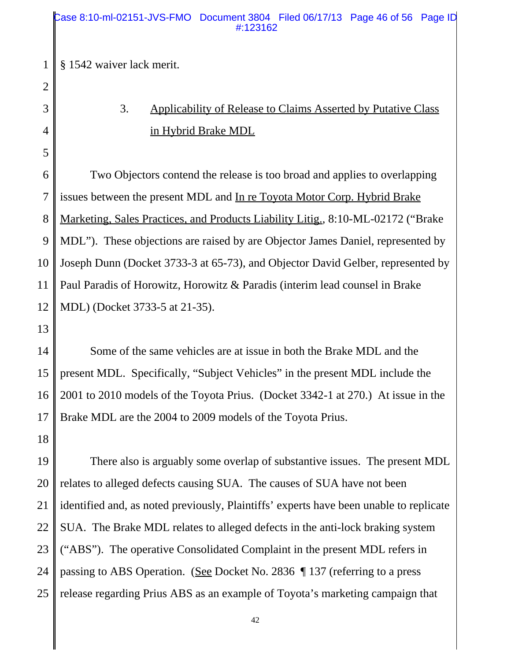1 § 1542 waiver lack merit.

# 3. Applicability of Release to Claims Asserted by Putative Class in Hybrid Brake MDL

6 7 8 9 10 11 12 Two Objectors contend the release is too broad and applies to overlapping issues between the present MDL and In re Toyota Motor Corp. Hybrid Brake Marketing, Sales Practices, and Products Liability Litig., 8:10-ML-02172 ("Brake MDL"). These objections are raised by are Objector James Daniel, represented by Joseph Dunn (Docket 3733-3 at 65-73), and Objector David Gelber, represented by Paul Paradis of Horowitz, Horowitz & Paradis (interim lead counsel in Brake MDL) (Docket 3733-5 at 21-35).

13

2

3

4

5

14 15 16 17 Some of the same vehicles are at issue in both the Brake MDL and the present MDL. Specifically, "Subject Vehicles" in the present MDL include the 2001 to 2010 models of the Toyota Prius. (Docket 3342-1 at 270.) At issue in the Brake MDL are the 2004 to 2009 models of the Toyota Prius.

18

19 20 21 22 23 24 25 There also is arguably some overlap of substantive issues. The present MDL relates to alleged defects causing SUA. The causes of SUA have not been identified and, as noted previously, Plaintiffs' experts have been unable to replicate SUA. The Brake MDL relates to alleged defects in the anti-lock braking system ("ABS"). The operative Consolidated Complaint in the present MDL refers in passing to ABS Operation. (See Docket No. 2836 ¶ 137 (referring to a press release regarding Prius ABS as an example of Toyota's marketing campaign that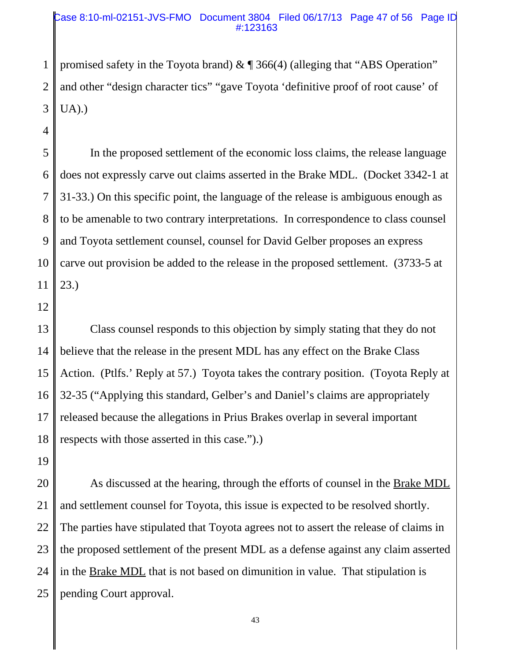#### Case 8:10-ml-02151-JVS-FMO Document 3804 Filed 06/17/13 Page 47 of 56 Page ID #:123163

1 2 3 promised safety in the Toyota brand)  $\&$   $\P$  366(4) (alleging that "ABS Operation" and other "design character tics" "gave Toyota 'definitive proof of root cause' of UA).)

5 6 7 8 9 10 11 In the proposed settlement of the economic loss claims, the release language does not expressly carve out claims asserted in the Brake MDL. (Docket 3342-1 at 31-33.) On this specific point, the language of the release is ambiguous enough as to be amenable to two contrary interpretations. In correspondence to class counsel and Toyota settlement counsel, counsel for David Gelber proposes an express carve out provision be added to the release in the proposed settlement. (3733-5 at 23.)

12

4

13 14 15 16 17 18 Class counsel responds to this objection by simply stating that they do not believe that the release in the present MDL has any effect on the Brake Class Action. (Ptlfs.' Reply at 57.) Toyota takes the contrary position. (Toyota Reply at 32-35 ("Applying this standard, Gelber's and Daniel's claims are appropriately released because the allegations in Prius Brakes overlap in several important respects with those asserted in this case.").)

19

20 21 22 23 24 25 As discussed at the hearing, through the efforts of counsel in the Brake MDL and settlement counsel for Toyota, this issue is expected to be resolved shortly. The parties have stipulated that Toyota agrees not to assert the release of claims in the proposed settlement of the present MDL as a defense against any claim asserted in the Brake MDL that is not based on dimunition in value. That stipulation is pending Court approval.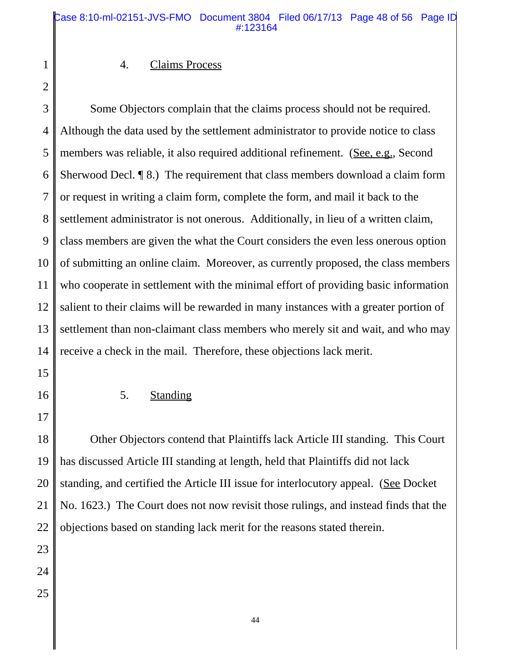#### Case 8:10-ml-02151-JVS-FMO Document 3804 Filed 06/17/13 Page 48 of 56 Page ID #:123164

#### 4. Claims Process

2

1

3 4 5 6 7 8 9 10 11 12 13 14 Some Objectors complain that the claims process should not be required. Although the data used by the settlement administrator to provide notice to class members was reliable, it also required additional refinement. (See, e.g., Second Sherwood Decl. ¶ 8.) The requirement that class members download a claim form or request in writing a claim form, complete the form, and mail it back to the settlement administrator is not onerous. Additionally, in lieu of a written claim, class members are given the what the Court considers the even less onerous option of submitting an online claim. Moreover, as currently proposed, the class members who cooperate in settlement with the minimal effort of providing basic information salient to their claims will be rewarded in many instances with a greater portion of settlement than non-claimant class members who merely sit and wait, and who may receive a check in the mail. Therefore, these objections lack merit.

15

16

17

5. Standing

18 19 20 21 22 Other Objectors contend that Plaintiffs lack Article III standing. This Court has discussed Article III standing at length, held that Plaintiffs did not lack standing, and certified the Article III issue for interlocutory appeal. (See Docket No. 1623.) The Court does not now revisit those rulings, and instead finds that the objections based on standing lack merit for the reasons stated therein.

- 23
- 24
- 25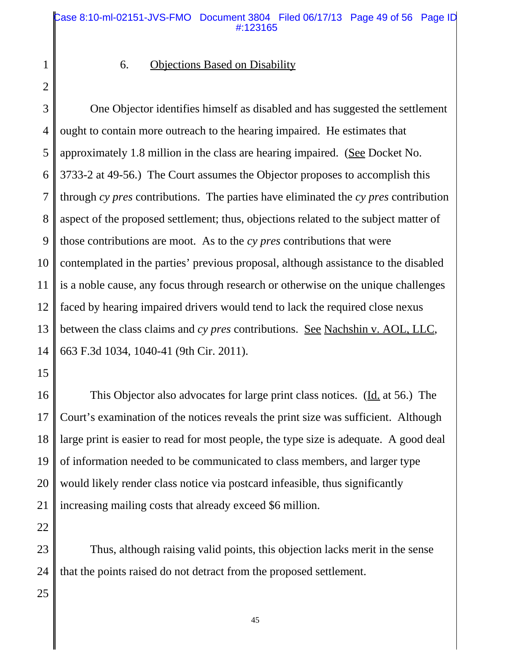#### Case 8:10-ml-02151-JVS-FMO Document 3804 Filed 06/17/13 Page 49 of 56 Page ID #:123165

1 2

### 6. Objections Based on Disability

3 4 5 6 7 8 9 10 11 12 13 14 One Objector identifies himself as disabled and has suggested the settlement ought to contain more outreach to the hearing impaired. He estimates that approximately 1.8 million in the class are hearing impaired. (See Docket No. 3733-2 at 49-56.) The Court assumes the Objector proposes to accomplish this through *cy pres* contributions. The parties have eliminated the *cy pres* contribution aspect of the proposed settlement; thus, objections related to the subject matter of those contributions are moot. As to the *cy pres* contributions that were contemplated in the parties' previous proposal, although assistance to the disabled is a noble cause, any focus through research or otherwise on the unique challenges faced by hearing impaired drivers would tend to lack the required close nexus between the class claims and *cy pres* contributions. See Nachshin v. AOL, LLC, 663 F.3d 1034, 1040-41 (9th Cir. 2011).

15

16 17 18 19 20 21 This Objector also advocates for large print class notices. (Id. at 56.) The Court's examination of the notices reveals the print size was sufficient. Although large print is easier to read for most people, the type size is adequate. A good deal of information needed to be communicated to class members, and larger type would likely render class notice via postcard infeasible, thus significantly increasing mailing costs that already exceed \$6 million.

22

23 24 Thus, although raising valid points, this objection lacks merit in the sense that the points raised do not detract from the proposed settlement.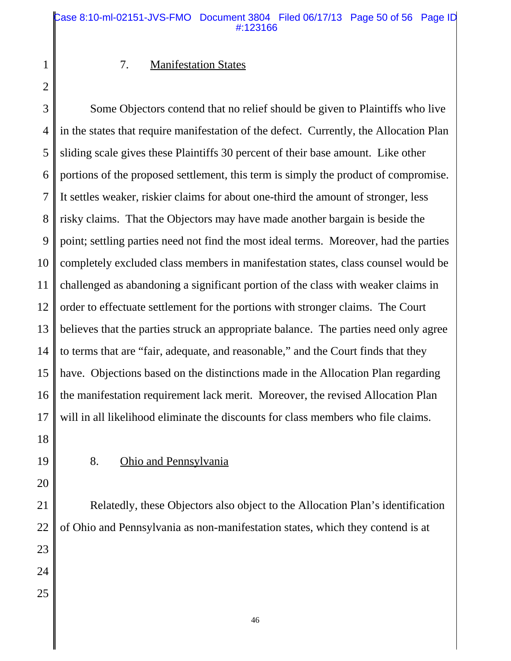#### Case 8:10-ml-02151-JVS-FMO Document 3804 Filed 06/17/13 Page 50 of 56 Page ID #:123166

#### 7. Manifestation States

2

1

3 4 5 6 7 8 9 10 11 12 13 14 15 16 17 Some Objectors contend that no relief should be given to Plaintiffs who live in the states that require manifestation of the defect. Currently, the Allocation Plan sliding scale gives these Plaintiffs 30 percent of their base amount. Like other portions of the proposed settlement, this term is simply the product of compromise. It settles weaker, riskier claims for about one-third the amount of stronger, less risky claims. That the Objectors may have made another bargain is beside the point; settling parties need not find the most ideal terms. Moreover, had the parties completely excluded class members in manifestation states, class counsel would be challenged as abandoning a significant portion of the class with weaker claims in order to effectuate settlement for the portions with stronger claims. The Court believes that the parties struck an appropriate balance. The parties need only agree to terms that are "fair, adequate, and reasonable," and the Court finds that they have. Objections based on the distinctions made in the Allocation Plan regarding the manifestation requirement lack merit. Moreover, the revised Allocation Plan will in all likelihood eliminate the discounts for class members who file claims.

- 18
- 19

#### 8. Ohio and Pennsylvania

20

21 22 23 24 25 Relatedly, these Objectors also object to the Allocation Plan's identification of Ohio and Pennsylvania as non-manifestation states, which they contend is at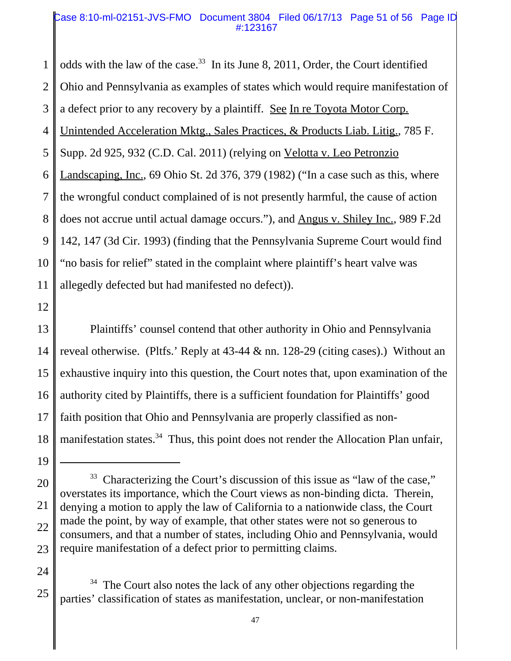#### Case 8:10-ml-02151-JVS-FMO Document 3804 Filed 06/17/13 Page 51 of 56 Page ID #:123167

1 2 3 4 5 6 7 8 9 10 11 odds with the law of the case.<sup>33</sup> In its June 8, 2011, Order, the Court identified Ohio and Pennsylvania as examples of states which would require manifestation of a defect prior to any recovery by a plaintiff. See In re Toyota Motor Corp. Unintended Acceleration Mktg., Sales Practices, & Products Liab. Litig., 785 F. Supp. 2d 925, 932 (C.D. Cal. 2011) (relying on Velotta v. Leo Petronzio Landscaping, Inc., 69 Ohio St. 2d 376, 379 (1982) ("In a case such as this, where the wrongful conduct complained of is not presently harmful, the cause of action does not accrue until actual damage occurs."), and Angus v. Shiley Inc., 989 F.2d 142, 147 (3d Cir. 1993) (finding that the Pennsylvania Supreme Court would find "no basis for relief" stated in the complaint where plaintiff's heart valve was allegedly defected but had manifested no defect)).

12

13 14 15 16 17 18 Plaintiffs' counsel contend that other authority in Ohio and Pennsylvania reveal otherwise. (Pltfs.' Reply at 43-44 & nn. 128-29 (citing cases).) Without an exhaustive inquiry into this question, the Court notes that, upon examination of the authority cited by Plaintiffs, there is a sufficient foundation for Plaintiffs' good faith position that Ohio and Pennsylvania are properly classified as nonmanifestation states.<sup>34</sup> Thus, this point does not render the Allocation Plan unfair,

24

<sup>20</sup> 21 22 23 <sup>33</sup> Characterizing the Court's discussion of this issue as "law of the case," overstates its importance, which the Court views as non-binding dicta. Therein, denying a motion to apply the law of California to a nationwide class, the Court made the point, by way of example, that other states were not so generous to consumers, and that a number of states, including Ohio and Pennsylvania, would require manifestation of a defect prior to permitting claims.

<sup>25</sup>  $34$  The Court also notes the lack of any other objections regarding the parties' classification of states as manifestation, unclear, or non-manifestation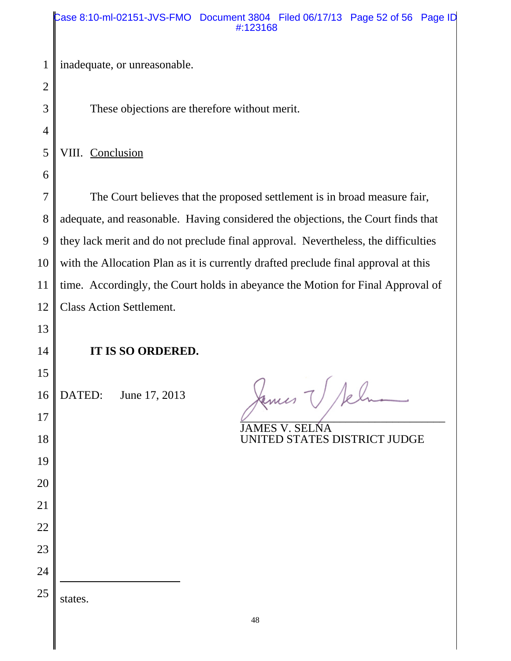inadequate, or unreasonable.

These objections are therefore without merit.

VIII. Conclusion

 The Court believes that the proposed settlement is in broad measure fair, adequate, and reasonable. Having considered the objections, the Court finds that they lack merit and do not preclude final approval. Nevertheless, the difficulties with the Allocation Plan as it is currently drafted preclude final approval at this time. Accordingly, the Court holds in abeyance the Motion for Final Approval of Class Action Settlement.

# **IT IS SO ORDERED.**

DATED: June 17, 2013

James V Sel  $\overline{U}$  , and the set of the set of the set of the set of the set of the set of the set of the set of the set of the set of the set of the set of the set of the set of the set of the set of the set of the set of the set

JAMES V. SELNA UNITED STATES DISTRICT JUDGE

states.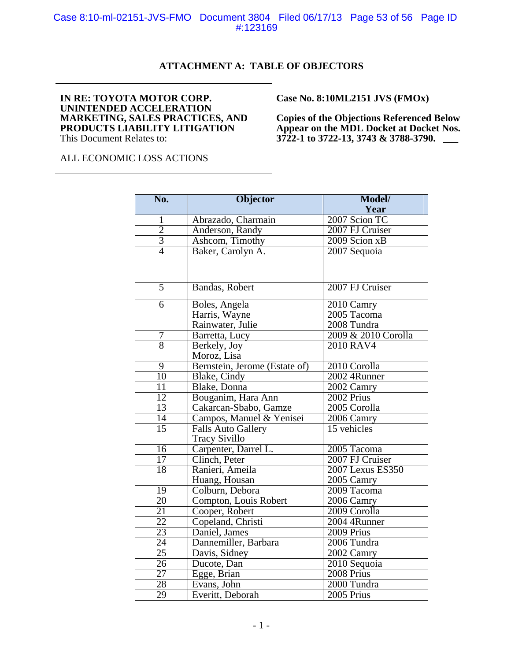Case 8:10-ml-02151-JVS-FMO Document 3804 Filed 06/17/13 Page 53 of 56 Page ID #:123169

#### **ATTACHMENT A: TABLE OF OBJECTORS**

#### **IN RE: TOYOTA MOTOR CORP. UNINTENDED ACCELERATION MARKETING, SALES PRACTICES, AND PRODUCTS LIABILITY LITIGATION**  This Document Relates to:

**Case No. 8:10ML2151 JVS (FMOx)** 

**Copies of the Objections Referenced Below Appear on the MDL Docket at Docket Nos. 3722-1 to 3722-13, 3743 & 3788-3790. \_\_\_** 

ALL ECONOMIC LOSS ACTIONS

| No.             | <b>Objector</b>               | Model/              |
|-----------------|-------------------------------|---------------------|
|                 |                               | Year                |
| 1               | Abrazado, Charmain            | 2007 Scion TC       |
| $\frac{2}{3}$   | Anderson, Randy               | 2007 FJ Cruiser     |
|                 | Ashcom, Timothy               | $2009$ Scion $xB$   |
| $\overline{4}$  | Baker, Carolyn A.             | 2007 Sequoia        |
|                 |                               |                     |
|                 |                               |                     |
| $\overline{5}$  | Bandas, Robert                | 2007 FJ Cruiser     |
| $\overline{6}$  | Boles, Angela                 | 2010 Camry          |
|                 | Harris, Wayne                 | 2005 Tacoma         |
|                 | Rainwater, Julie              | 2008 Tundra         |
| 7               | Barretta, Lucy                | 2009 & 2010 Corolla |
| $\overline{8}$  | Berkely, Joy                  | 2010 RAV4           |
|                 | Moroz, Lisa                   |                     |
| 9               | Bernstein, Jerome (Estate of) | 2010 Corolla        |
| $\overline{10}$ | Blake, Cindy                  | 2002 4Runner        |
| $\overline{11}$ | Blake, Donna                  | 2002 Camry          |
| 12              | Bouganim, Hara Ann            | 2002 Prius          |
| 13              | Cakarcan-Sbabo, Gamze         | 2005 Corolla        |
| $\overline{14}$ | Campos, Manuel & Yenisei      | 2006 Camry          |
| $\overline{15}$ | <b>Falls Auto Gallery</b>     | 15 vehicles         |
|                 | <b>Tracy Sivillo</b>          |                     |
| 16              | Carpenter, Darrel L.          | 2005 Tacoma         |
| $\overline{17}$ | Clinch, Peter                 | 2007 FJ Cruiser     |
| 18              | Ranieri, Ameila               | 2007 Lexus ES350    |
|                 | Huang, Housan                 | 2005 Camry          |
| 19              | Colburn, Debora               | 2009 Tacoma         |
| $\overline{20}$ | Compton, Louis Robert         | 2006 Camry          |
| 21              | Cooper, Robert                | 2009 Corolla        |
| 22              | Copeland, Christi             | 2004 4Runner        |
| 23              | Daniel, James                 | 2009 Prius          |
| 24              | Dannemiller, Barbara          | 2006 Tundra         |
| 25              | Davis, Sidney                 | 2002 Camry          |
| $\overline{26}$ | Ducote, Dan                   | 2010 Sequoia        |
| 27              | Egge, Brian                   | $2008$ Prius        |
| 28              | Evans, John                   | 2000 Tundra         |
| $\overline{29}$ | Everitt, Deborah              | $2005$ Prius        |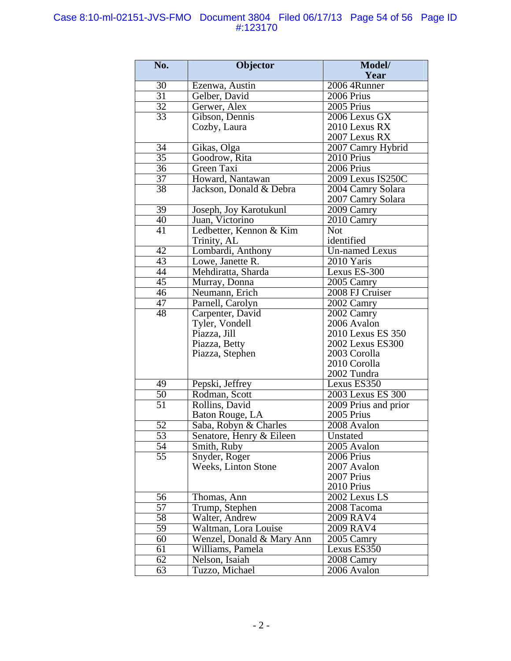#### Case 8:10-ml-02151-JVS-FMO Document 3804 Filed 06/17/13 Page 54 of 56 Page ID #:123170

| No.                  | Objector                         | Model/                  |
|----------------------|----------------------------------|-------------------------|
|                      |                                  | Year                    |
| $\overline{30}$      | Ezenwa, Austin                   | 2006 4Runner            |
| $\overline{31}$      | Gelber, David                    | 2006 Prius              |
| 32                   | Gerwer, Alex                     | 2005 Prius              |
| 33                   | Gibson, Dennis                   | 2006 Lexus GX           |
|                      | Cozby, Laura                     | 2010 Lexus RX           |
|                      |                                  | 2007 Lexus RX           |
| 34                   | Gikas, Olga                      | 2007 Camry Hybrid       |
| $\overline{35}$      | Goodrow, Rita                    | $\overline{20}10$ Prius |
| 36                   | Green Taxi                       | $2006$ Prius            |
| 37                   | Howard, Nantawan                 | 2009 Lexus IS250C       |
| $\overline{38}$      | Jackson, Donald & Debra          | 2004 Camry Solara       |
|                      |                                  | 2007 Camry Solara       |
| 39                   | Joseph, Joy Karotukunl           | 2009 Camry              |
| 40                   | Juan, Victorino                  | 2010 Camry              |
| $\overline{41}$      | Ledbetter, Kennon & Kim          | <b>Not</b>              |
|                      | Trinity, AL                      | identified              |
| $\overline{42}$      | Lombardi, Anthony                | <b>Un-named Lexus</b>   |
| 43                   | Lowe, Janette R.                 | 2010 Yaris              |
| $\overline{44}$      | Mehdiratta, Sharda               | Lexus ES-300            |
| $\overline{45}$      | Murray, Donna                    | $2005$ Camry            |
| $\overline{46}$      | Neumann, Erich                   | 2008 FJ Cruiser         |
| 47                   | Parnell, Carolyn                 | 2002 Camry              |
| 48                   | Carpenter, David                 | 2002 Camry              |
|                      | Tyler, Vondell                   | 2006 Avalon             |
|                      | Piazza, Jill                     | 2010 Lexus ES 350       |
|                      | Piazza, Betty                    | 2002 Lexus ES300        |
|                      | Piazza, Stephen                  | 2003 Corolla            |
|                      |                                  | 2010 Corolla            |
|                      |                                  | 2002 Tundra             |
| 49                   | Pepski, Jeffrey                  | Lexus ES350             |
| $\frac{50}{51}$      | Rodman, Scott                    | 2003 Lexus ES 300       |
|                      | Rollins, David                   | 2009 Prius and prior    |
| Baton Rouge, LA      |                                  | 2005 Prius              |
| $\overline{52}$      | Saba, Robyn & Charles            | 2008 Avalon             |
| $\overline{53}$      | Senatore, Henry & Eileen         | Unstated                |
| $\overline{54}$      | $\overline{\text{Smith}}$ , Ruby | $2005$ Avalon           |
| 55                   | Snyder, Roger                    | 2006 Prius              |
|                      | Weeks, Linton Stone              | 2007 Avalon             |
|                      |                                  | 2007 Prius              |
|                      |                                  | 2010 Prius              |
| 56                   | Thomas, Ann                      | 2002 Lexus LS           |
| 57                   | Trump, Stephen                   | 2008 Tacoma             |
| 58                   | Walter, Andrew                   | 2009 RAV4               |
| 59                   | Waltman, Lora Louise             | 2009 RAV4               |
| 60                   | Wenzel, Donald & Mary Ann        | 2005 Camry              |
| 61                   | Williams, Pamela                 | Lexus ES350             |
| 62                   | Nelson, Isaiah                   | 2008 Camry              |
| 63<br>Tuzzo, Michael |                                  | 2006 Avalon             |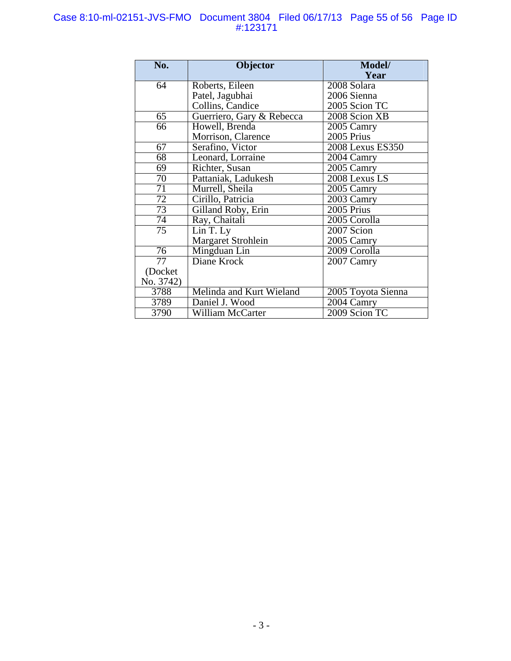#### Case 8:10-ml-02151-JVS-FMO Document 3804 Filed 06/17/13 Page 55 of 56 Page ID #:123171

| No.             | Objector                  | Model/             |
|-----------------|---------------------------|--------------------|
|                 |                           | Year               |
| 64              | Roberts, Eileen           | 2008 Solara        |
|                 | Patel, Jagubhai           | 2006 Sienna        |
|                 | Collins, Candice          | 2005 Scion TC      |
| 65              | Guerriero, Gary & Rebecca | 2008 Scion XB      |
| 66              | Howell, Brenda            | 2005 Camry         |
|                 | Morrison, Clarence        | 2005 Prius         |
| 67              | Serafino, Victor          | 2008 Lexus ES350   |
| 68              | Leonard, Lorraine         | 2004 Camry         |
| 69              | Richter, Susan            | 2005 Camry         |
| 70              | Pattaniak, Ladukesh       | 2008 Lexus LS      |
| 71              | Murrell, Sheila           | 2005 Camry         |
| $\overline{72}$ | Cirillo, Patricia         | 2003 Camry         |
| 73              | Gilland Roby, Erin        | $2005$ Prius       |
| 74              | Ray, Chaitali             | 2005 Corolla       |
| 75              | Lin T. Ly                 | 2007 Scion         |
|                 | Margaret Strohlein        | 2005 Camry         |
| 76              | Mingduan Lin              | 2009 Corolla       |
| 77              | Diane Krock               | 2007 Camry         |
| (Docket         |                           |                    |
| No. 3742)       |                           |                    |
| 3788            | Melinda and Kurt Wieland  | 2005 Toyota Sienna |
| 3789            | Daniel J. Wood            | 2004 Camry         |
| 3790            | William McCarter          | 2009 Scion TC      |